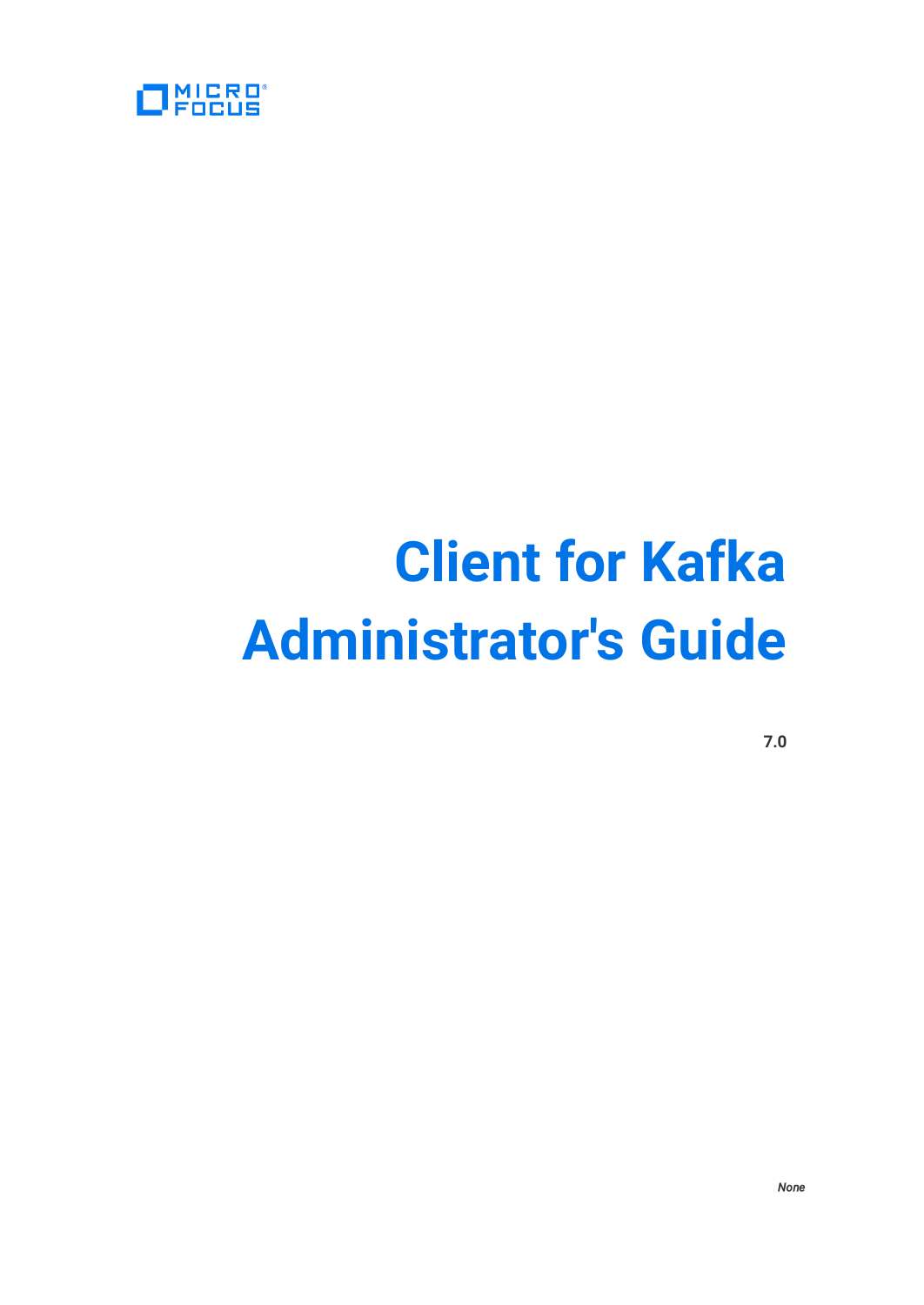

# **Client for Kafka Administrator's Guide**

**7.0**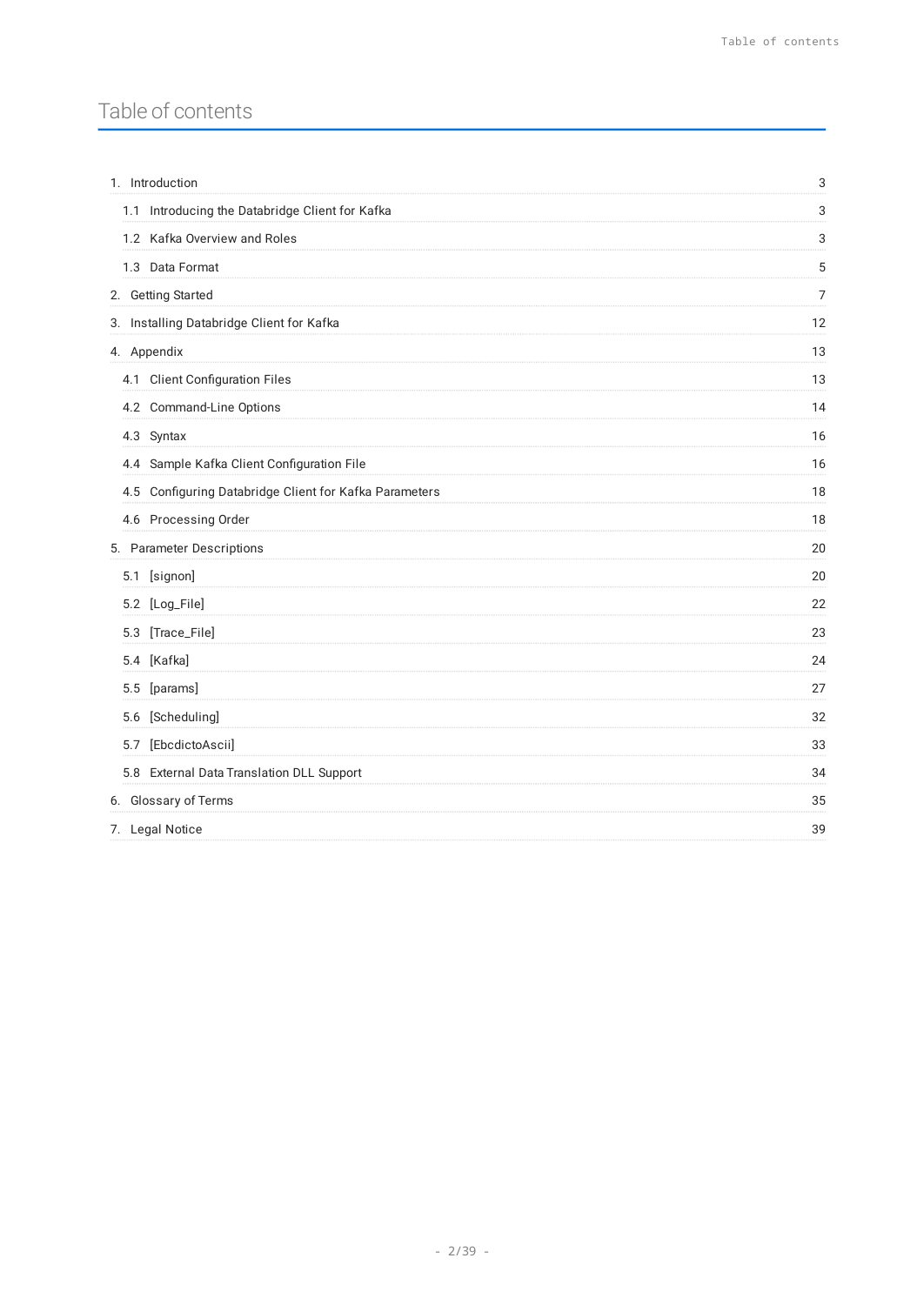### Table of contents

| 1. Introduction                                        | 3              |
|--------------------------------------------------------|----------------|
| 1.1 Introducing the Databridge Client for Kafka        | 3              |
| 1.2 Kafka Overview and Roles                           | 3              |
| 1.3 Data Format                                        | 5              |
| 2. Getting Started                                     | $\overline{7}$ |
| 3. Installing Databridge Client for Kafka              | 12             |
| 4. Appendix                                            | 13             |
| 4.1 Client Configuration Files                         | 13             |
| 4.2 Command-Line Options                               | 14             |
| 4.3 Syntax                                             | 16             |
| 4.4 Sample Kafka Client Configuration File             | 16             |
| 4.5 Configuring Databridge Client for Kafka Parameters | 18             |
| 4.6 Processing Order                                   | 18             |
| 5. Parameter Descriptions                              | 20             |
| 5.1 [signon]                                           | 20             |
| 5.2 [Log_File]                                         | 22             |
| 5.3 [Trace_File]                                       | 23             |
| 5.4 [Kafka]                                            | 24             |
| 5.5 [params]                                           | 27             |
| 5.6 [Scheduling]                                       | 32             |
| 5.7 [EbcdictoAscii]                                    | 33             |
| 5.8 External Data Translation DLL Support              | 34             |
| 6. Glossary of Terms                                   | 35             |
| 7. Legal Notice                                        | 39             |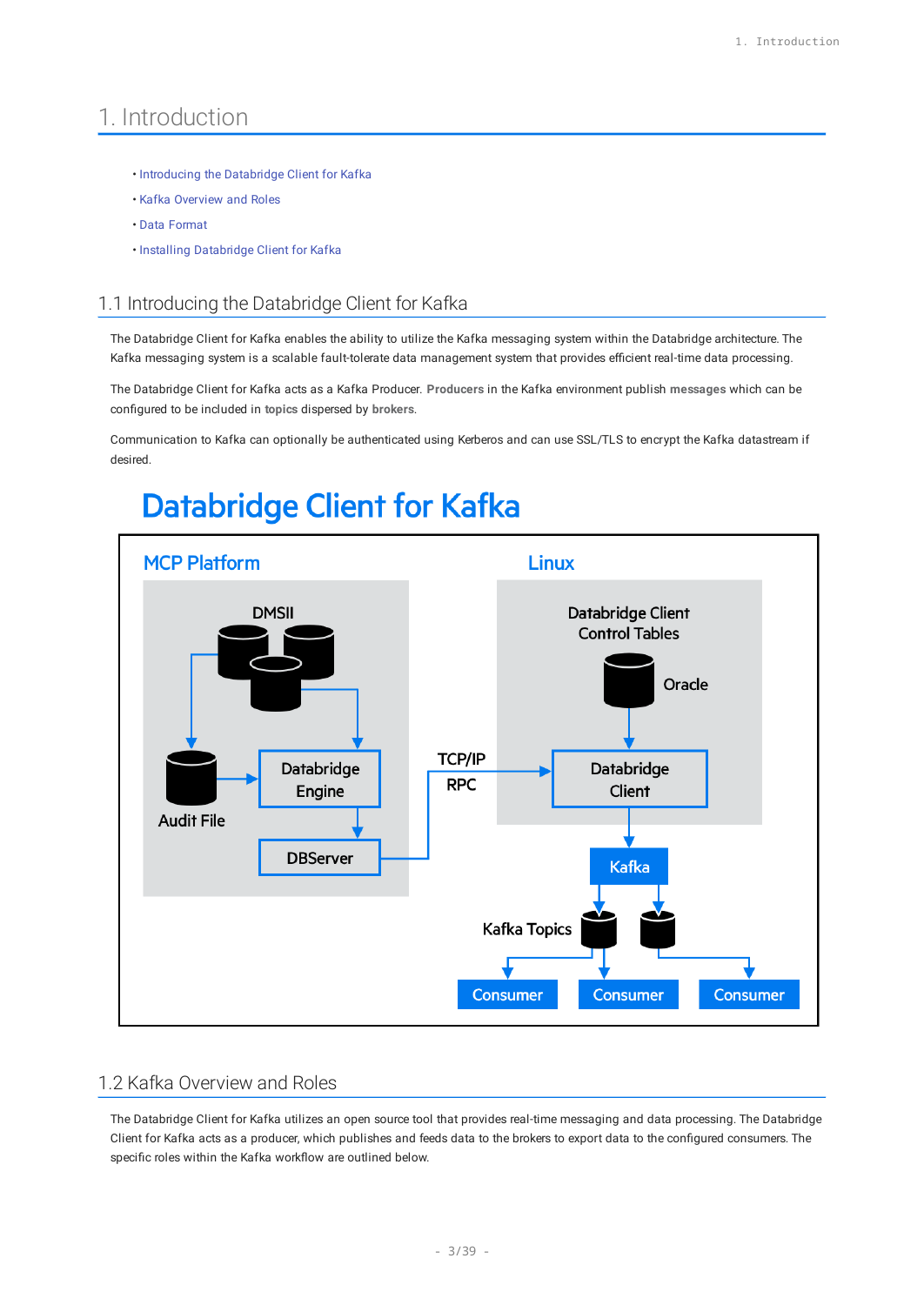### <span id="page-2-0"></span>1. Introduction

- Introducing the Databridge Client for Kafka
- Kafka Overview and Roles
- [Data Format](#page-4-0) •
- Installing Databridge Client for Kafka

### <span id="page-2-1"></span>1.1 Introducing the Databridge Client for Kafka

The Databridge Client for Kafka enables the ability to utilize the Kafka messaging system within the Databridge architecture. The Kafka messaging system is a scalable fault-tolerate data management system that provides efficient real-time data processing.

The Databridge Client for Kafka acts as a Kafka Producer. **Producers** in the Kafka environment publish **messages** which can be configured to be included in **topics** dispersed by **brokers**.

Communication to Kafka can optionally be authenticated using Kerberos and can use SSL/TLS to encrypt the Kafka datastream if desired.

# **Databridge Client for Kafka**



### <span id="page-2-2"></span>1.2 Kafka Overview and Roles

The Databridge Client for Kafka utilizes an open source tool that provides real-time messaging and data processing. The Databridge Client for Kafka acts as a producer, which publishes and feeds data to the brokers to export data to the configured consumers. The specific roles within the Kafka workflow are outlined below.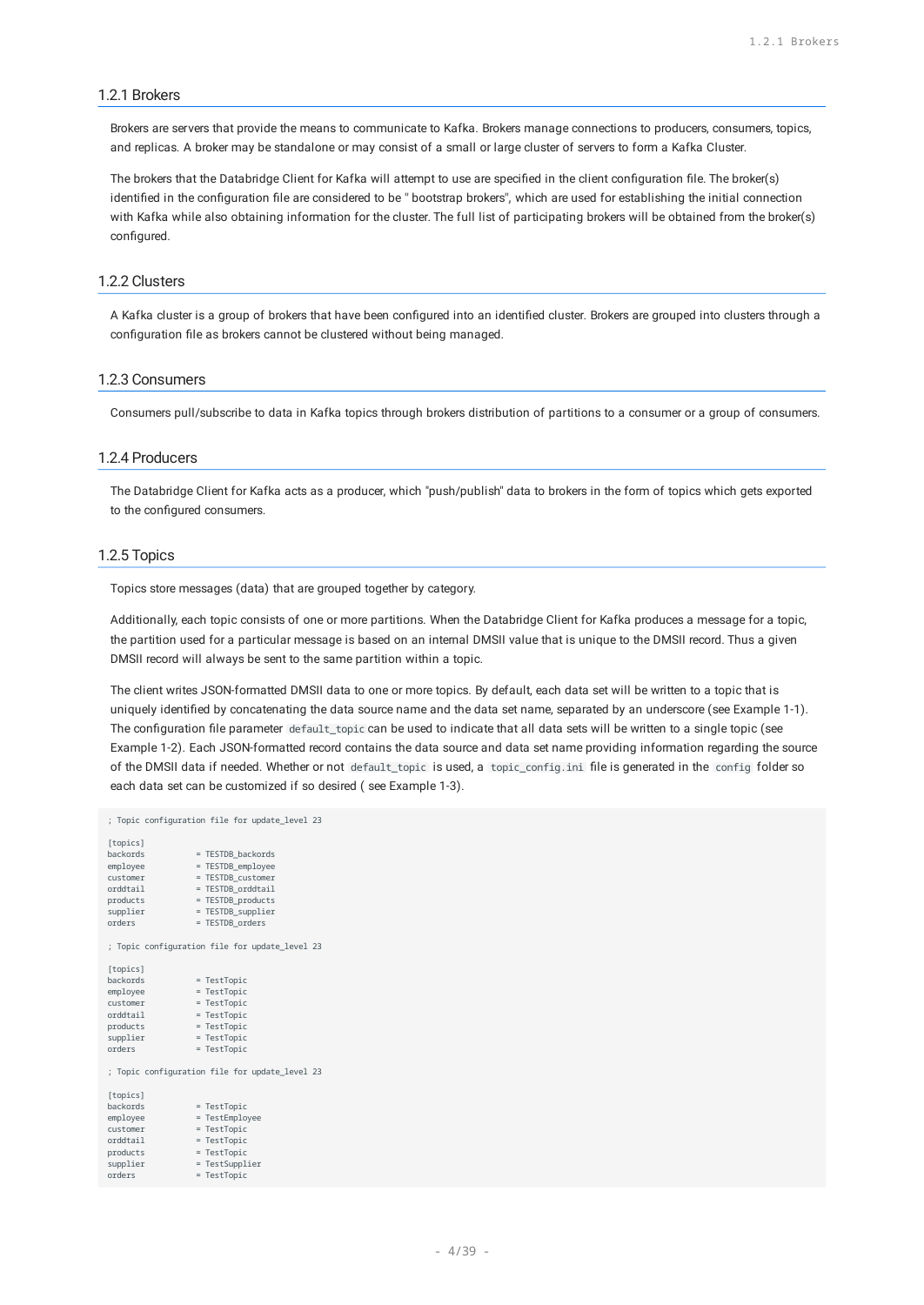#### 1.2.1 Brokers

Brokers are servers that provide the means to communicate to Kafka. Brokers manage connections to producers, consumers, topics, and replicas. A broker may be standalone or may consist of a small or large cluster of servers to form a Kafka Cluster.

The brokers that the Databridge Client for Kafka will attempt to use are specified in the client configuration file. The broker(s) identified in the configuration file are considered to be **"** bootstrap brokers**",** which are used for establishing the initial connection with Kafka while also obtaining information for the cluster. The full list of participating brokers will be obtained from the broker(s) configured.

#### 1.2.2 Clusters

A Kafka cluster is a group of brokers that have been configured into an identified cluster. Brokers are grouped into clusters through a configuration file as brokers cannot be clustered without being managed.

#### 1.2.3 Consumers

Consumers pull/subscribe to data in Kafka topics through brokers distribution of partitions to a consumer or a group of consumers.

#### 1.2.4 Producers

The Databridge Client for Kafka acts as a producer, which "push/publish" data to brokers in the form of topics which gets exported to the configured consumers.

#### 1.2.5 Topics

Topics store messages (data) that are grouped together by category.

Additionally, each topic consists of one or more partitions. When the Databridge Client for Kafka produces a message for a topic, the partition used for a particular message is based on an internal DMSII value that is unique to the DMSII record. Thus a given DMSII record will always be sent to the same partition within a topic.

The client writes JSON-formatted DMSII data to one or more topics. By default, each data set will be written to a topic that is uniquely identified by concatenating the data source name and the data set name, separated by an underscore (see Example 1-1). The configuration file parameter default\_topic can be used to indicate that all data sets will be written to a single topic (see Example 1-2). Each JSON-formatted record contains the data source and data set name providing information regarding the source of the DMSII data if needed. Whether or not default\_topic is used, a topic\_config.ini file is generated in the config folder so each data set can be customized if so desired ( see Example 1-3).

|          |                   | ; Topic configuration file for update_level 23 |  |
|----------|-------------------|------------------------------------------------|--|
| [topics] |                   |                                                |  |
| backords | = TESTDB backords |                                                |  |
| employee | = TESTDB employee |                                                |  |
| customer | = TESTDB customer |                                                |  |
| orddtail | = TESTDB orddtail |                                                |  |
| products | = TESTDB products |                                                |  |
| supplier | = TESTDB supplier |                                                |  |
| orders   | = TESTDB_orders   |                                                |  |
|          |                   | ; Topic configuration file for update_level 23 |  |
|          |                   |                                                |  |
| [topics] |                   |                                                |  |
| backords | = TestTopic       |                                                |  |
| employee | = TestTopic       |                                                |  |
| customer | = TestTopic       |                                                |  |
| orddtail | = TestTopic       |                                                |  |
| products | = TestTopic       |                                                |  |
| supplier | = TestTopic       |                                                |  |
| orders   | = TestTopic       |                                                |  |
|          |                   | ; Topic configuration file for update_level 23 |  |
| [topics] |                   |                                                |  |
| backords | = TestTopic       |                                                |  |
| employee | = TestEmployee    |                                                |  |
| customer | = TestTopic       |                                                |  |
| orddtail | = TestTopic       |                                                |  |
| products | = TestTopic       |                                                |  |
| supplier | = TestSupplier    |                                                |  |
| orders   | = TestTopic       |                                                |  |
|          |                   |                                                |  |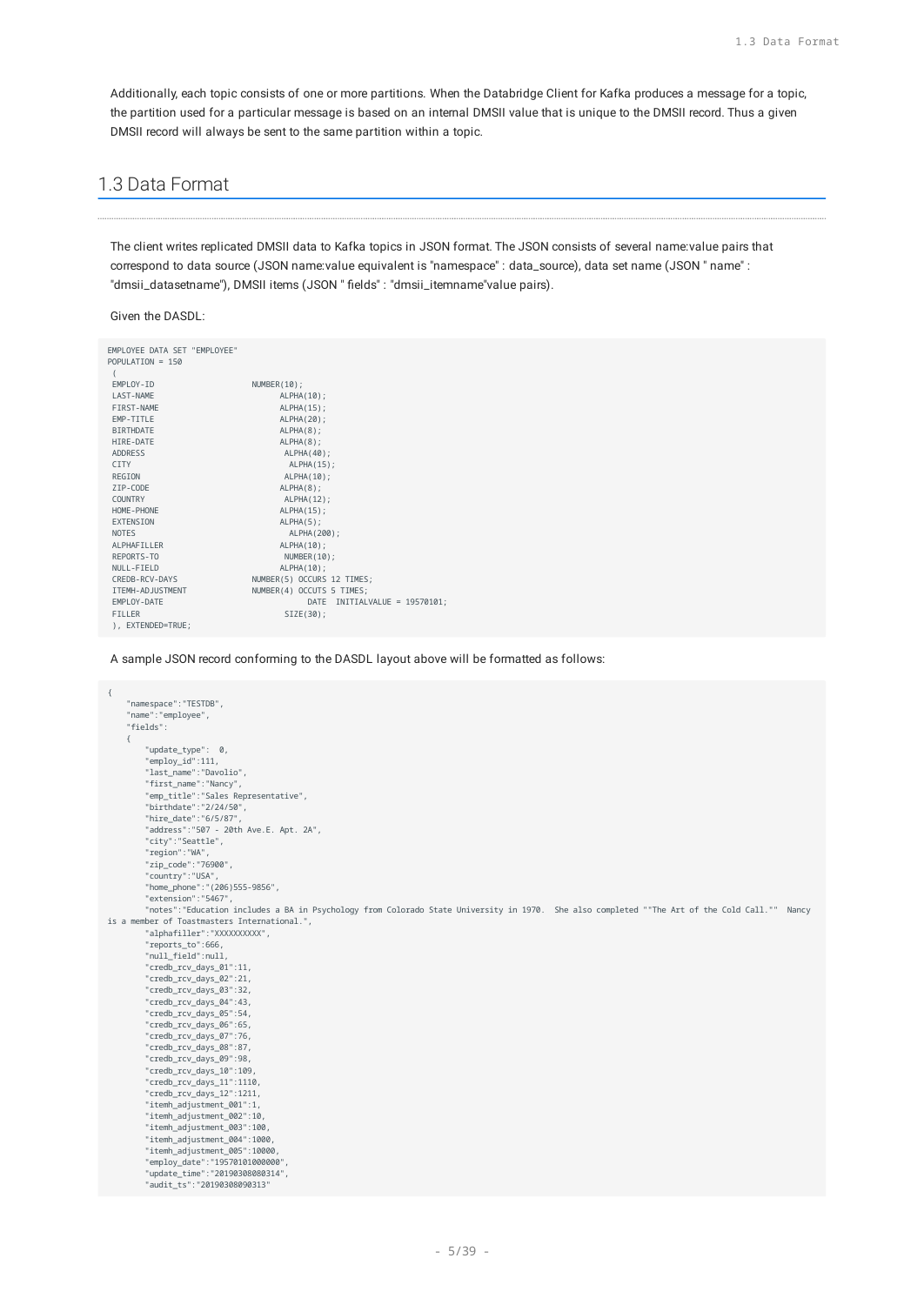Additionally, each topic consists of one or more partitions. When the Databridge Client for Kafka produces a message for a topic, the partition used for a particular message is based on an internal DMSII value that is unique to the DMSII record. Thus a given DMSII record will always be sent to the same partition within a topic.

### <span id="page-4-0"></span>1.3 Data Format

The client writes replicated DMSII data to Kafka topics in JSON format. The JSON consists of several name:value pairs that correspond to data source (JSON name:value equivalent is "namespace" : data\_source), data set name (JSON " name" : "dmsii\_datasetname"), DMSII items (JSON " fields" : "dmsii\_itemname"value pairs).

Given the DASDL:

| FMPLOYFE DATA SET "EMPLOYEE" |                               |
|------------------------------|-------------------------------|
| $POPULATION = 150$           |                               |
|                              |                               |
| FMPLOY-TD                    | NUMBER (10) ;                 |
| <b>LAST-NAME</b>             | ALPHA(10);                    |
| FTRST-NAME                   | ALPHA(15);                    |
| FMP-TTTLF                    | ALPHA(20):                    |
| <b>BTRTHDATE</b>             | $ALPHA(8)$ ;                  |
| HTRF-DATF                    | ALPHA(8);                     |
| <b>ADDRESS</b>               | $ALPHA(40)$ :                 |
| <b>CTTY</b>                  | $ALPHA(15)$ ;                 |
| <b>REGTON</b>                | ALPHA(10):                    |
| 7TP-CODE                     | $ALPHA(8)$ ;                  |
| COUNTRY                      | $ALPHA(12)$ :                 |
| HOME - PHONE                 | $ALPHA(15)$ ;                 |
| <b>FXTENSTON</b>             | $ALPHA(5)$ :                  |
| <b>NOTES</b>                 | ALPHA(200);                   |
| ALPHAFTLLFR                  | ALPHA(10);                    |
| REPORTS-TO                   | NUMBER(10);                   |
| NULL-FTFLD                   | ALPHA(10):                    |
| CREDB-RCV-DAYS               | NUMBER(5) OCCURS 12 TIMES;    |
| TTEMH-ADJUSTMENT             | NUMBER(4) OCCUTS 5 TIMES;     |
| FMPLOY-DATE                  | DATE INITIALVALUE = 19570101; |
| FTLLFR                       | SIZE(30):                     |
| ), EXTENDED=TRUE:            |                               |

A sample JSON record conforming to the DASDL layout above will be formatted as follows:

| $\left\{ \right.$                                                                                                                             |
|-----------------------------------------------------------------------------------------------------------------------------------------------|
| "namespace": "TESTDB",                                                                                                                        |
| "name":"employee",                                                                                                                            |
| "fields":                                                                                                                                     |
| €                                                                                                                                             |
| "update_type": 0,                                                                                                                             |
| "employ_id":111,                                                                                                                              |
| "last name": "Davolio",                                                                                                                       |
| "first_name":"Nancy",                                                                                                                         |
| "emp_title":"Sales Representative",                                                                                                           |
| "birthdate": "2/24/50",                                                                                                                       |
| "hire_date":"6/5/87",                                                                                                                         |
| "address": "507 - 20th Ave.E. Apt. 2A",                                                                                                       |
| "city":"Seattle",                                                                                                                             |
| "region": "WA",                                                                                                                               |
| "zip_code":"76900",                                                                                                                           |
| "country": "USA",                                                                                                                             |
| "home_phone": "(206)555-9856",                                                                                                                |
| "extension":"5467",                                                                                                                           |
| "notes":"Education includes a BA in Psychology from Colorado State University in 1970. She also completed ""The Art of the Cold Call."" Nancy |
| is a member of Toastmasters International.",                                                                                                  |
| "alphafiller":"XXXXXXXXXX",                                                                                                                   |
| "reports_to":666,                                                                                                                             |
| "null field":null,                                                                                                                            |
| "credb_rcv_days_01":11,                                                                                                                       |
| "credb_rcv_days_02":21,                                                                                                                       |
| "credb_rcv_days_03":32,                                                                                                                       |
| "credb_rcv_days_04":43,                                                                                                                       |
| "credb_rcv_days_05":54,                                                                                                                       |
| "credb_rcv_days_06":65,                                                                                                                       |
| "credb_rcv_days_07":76,                                                                                                                       |
| "credb_rcv_days_08":87,                                                                                                                       |
| "credb_rcv_days_09":98,                                                                                                                       |
| "credb_rcv_days_10":109,                                                                                                                      |
| "credb_rcv_days_11":1110,                                                                                                                     |
| "credb_rcv_days_12":1211,                                                                                                                     |
| "itemh_adjustment_001":1,                                                                                                                     |
| "itemh adjustment 002":10,                                                                                                                    |
| "itemh_adjustment_003":100,                                                                                                                   |
| "itemh_adjustment_004":1000,                                                                                                                  |
| "itemh_adjustment_005":10000,                                                                                                                 |
| "employ date": "19570101000000",                                                                                                              |
| "update_time": "20190308080314",                                                                                                              |
| "audit ts": "20190308090313"                                                                                                                  |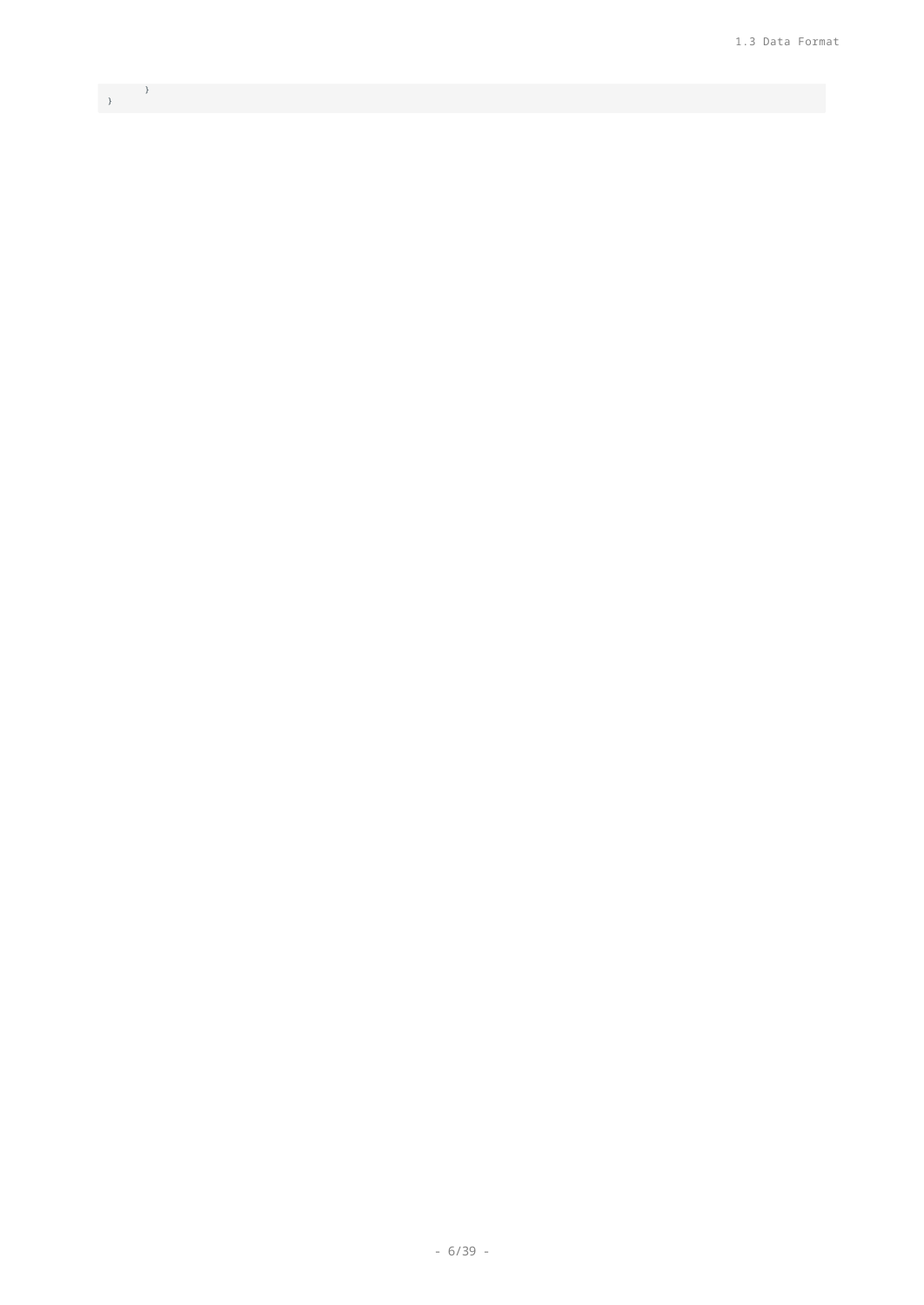} }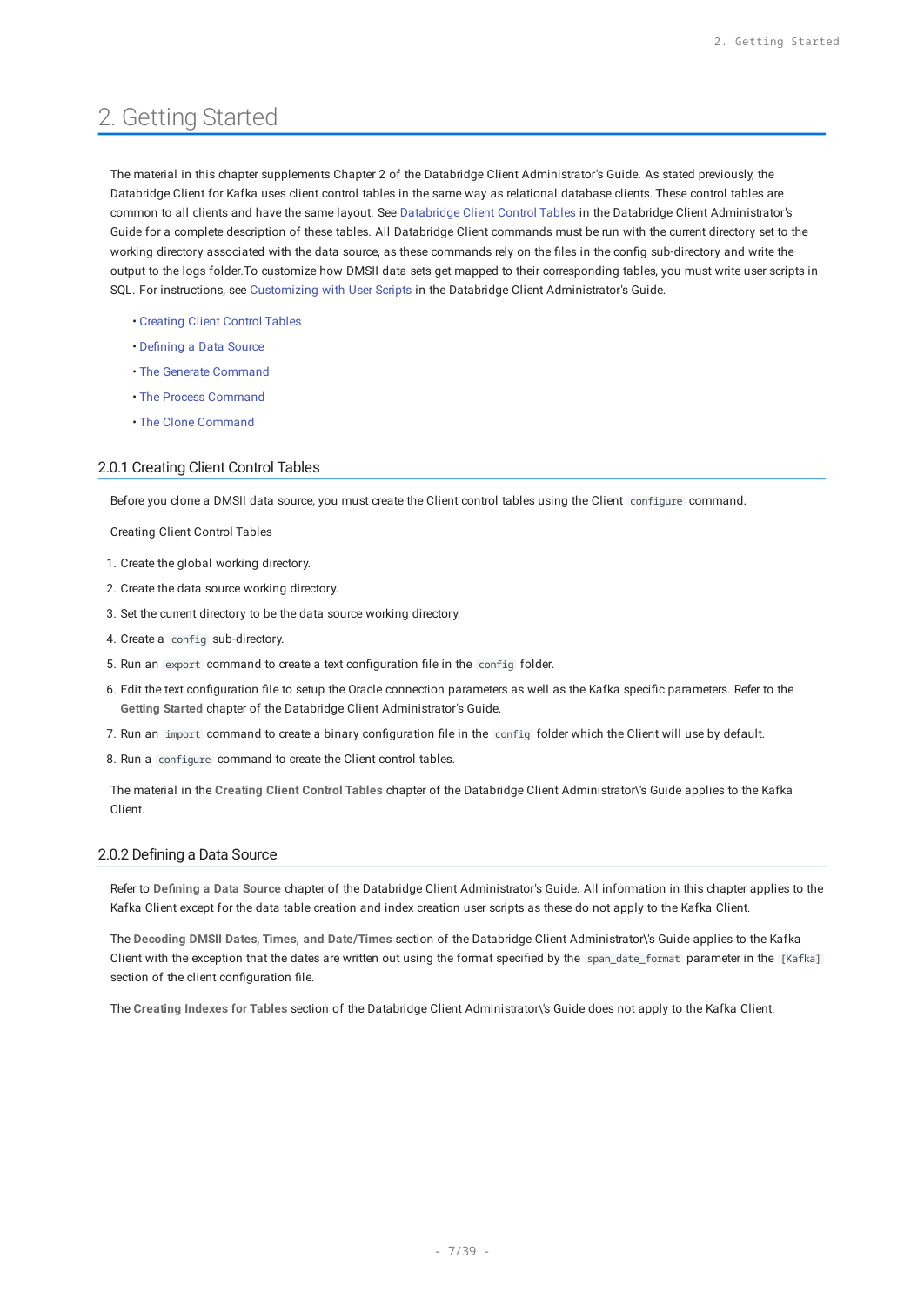# <span id="page-6-0"></span>2. Getting Started

The material in this chapter supplements Chapter 2 of the Databridge Client Administrator's Guide. As stated previously, the Databridge Client for Kafka uses client control tables in the same way as relational database clients. These control tables are common to all clients and have the same layout. See Databridge Client Control Tables in the Databridge Client Administrator's Guide for a complete description of these tables. All Databridge Client commands must be run with the current directory set to the working directory associated with the data source, as these commands rely on the files in the config sub-directory and write the output to the logs folder.To customize how DMSII data sets get mapped to their corresponding tables, you must write user scripts in SQL. For instructions, see Customizing with User Scripts in the Databridge Client Administrator's Guide.

- Creating Client Control Tables •
- Defi[ning a Data Source](#page-6-1) •
- [The Generate Command](#page-9-0) •
- [The Process Command](#page-10-0) •
- [The Clone Command](#page-10-1) •

#### 2.0.1 Creating Client Control Tables

Before you clone a DMSII data source, you must create the Client control tables using the Client configure command.

Creating Client Control Tables

- 1. Create the global working directory.
- 2. Create the data source working directory.
- 3. Set the current directory to be the data source working directory.
- 4. Create a config sub-directory.
- 5. Run an export command to create a text configuration file in the config folder.
- Edit the text configuration file to setup the Oracle connection parameters as well as the Kafka specific parameters. Refer to the 6. **Getting Started** chapter of the Databridge Client Administrator's Guide.
- 7. Run an import command to create a binary configuration file in the config folder which the Client will use by default.
- 8. Run a configure command to create the Client control tables.

The material in the **Creating Client Control Tables** chapter of the Databridge Client Administrator\'s Guide applies to the Kafka Client.

#### <span id="page-6-1"></span>2.0.2 Defining a Data Source

Refer to **Defining a Data Source** chapter of the Databridge Client Administrator's Guide. All information in this chapter applies to the Kafka Client except for the data table creation and index creation user scripts as these do not apply to the Kafka Client.

The **Decoding DMSII Dates, Times, and Date/Times** section of the Databridge Client Administrator\'s Guide applies to the Kafka Client with the exception that the dates are written out using the format specified by the span\_date\_format parameter in the [Kafka] section of the client configuration file.

The **Creating Indexes for Tables** section of the Databridge Client Administrator\'s Guide does not apply to the Kafka Client.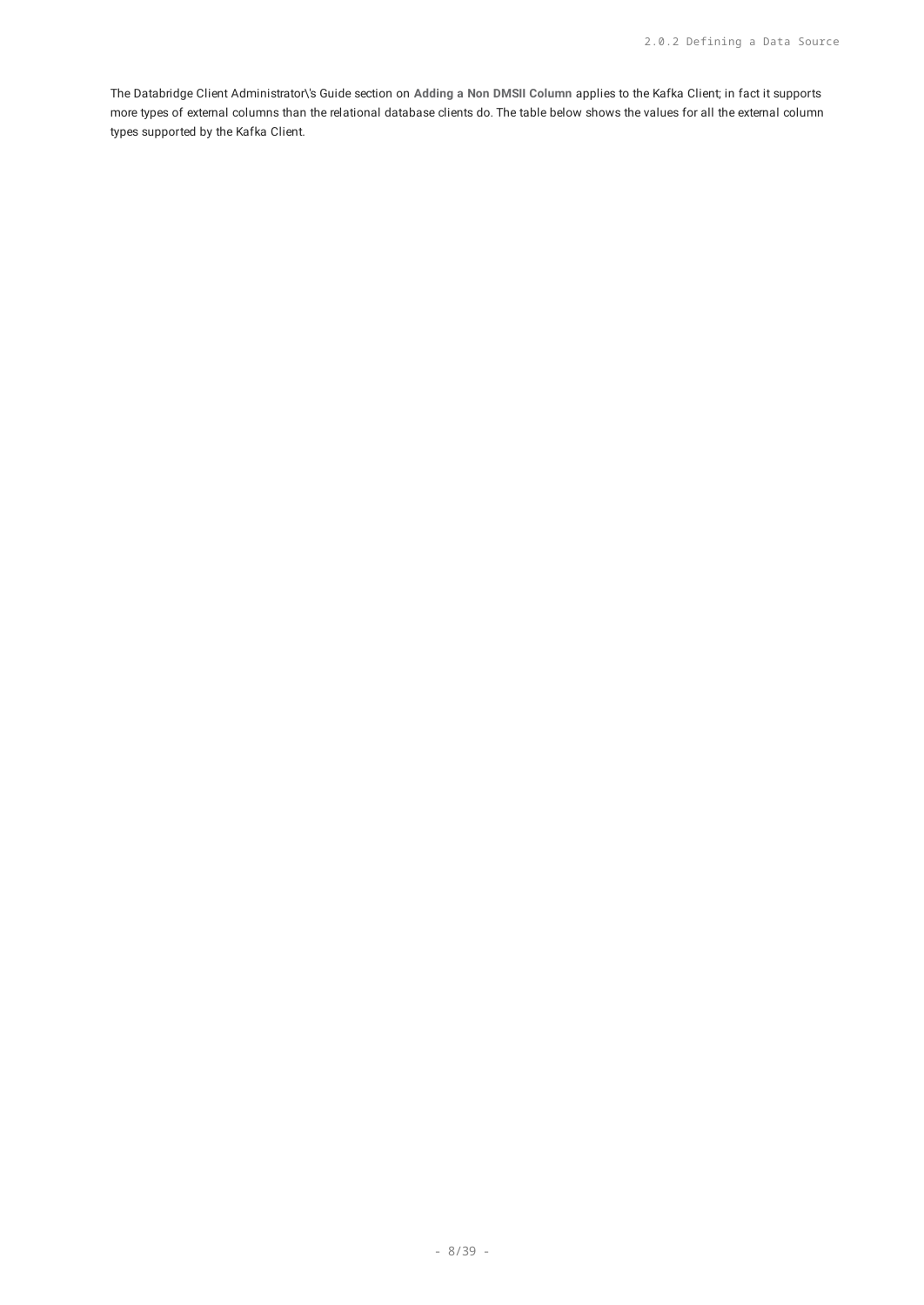The Databridge Client Administrator\'s Guide section on **Adding a Non DMSII Column** applies to the Kafka Client; in fact it supports more types of external columns than the relational database clients do. The table below shows the values for all the external column types supported by the Kafka Client.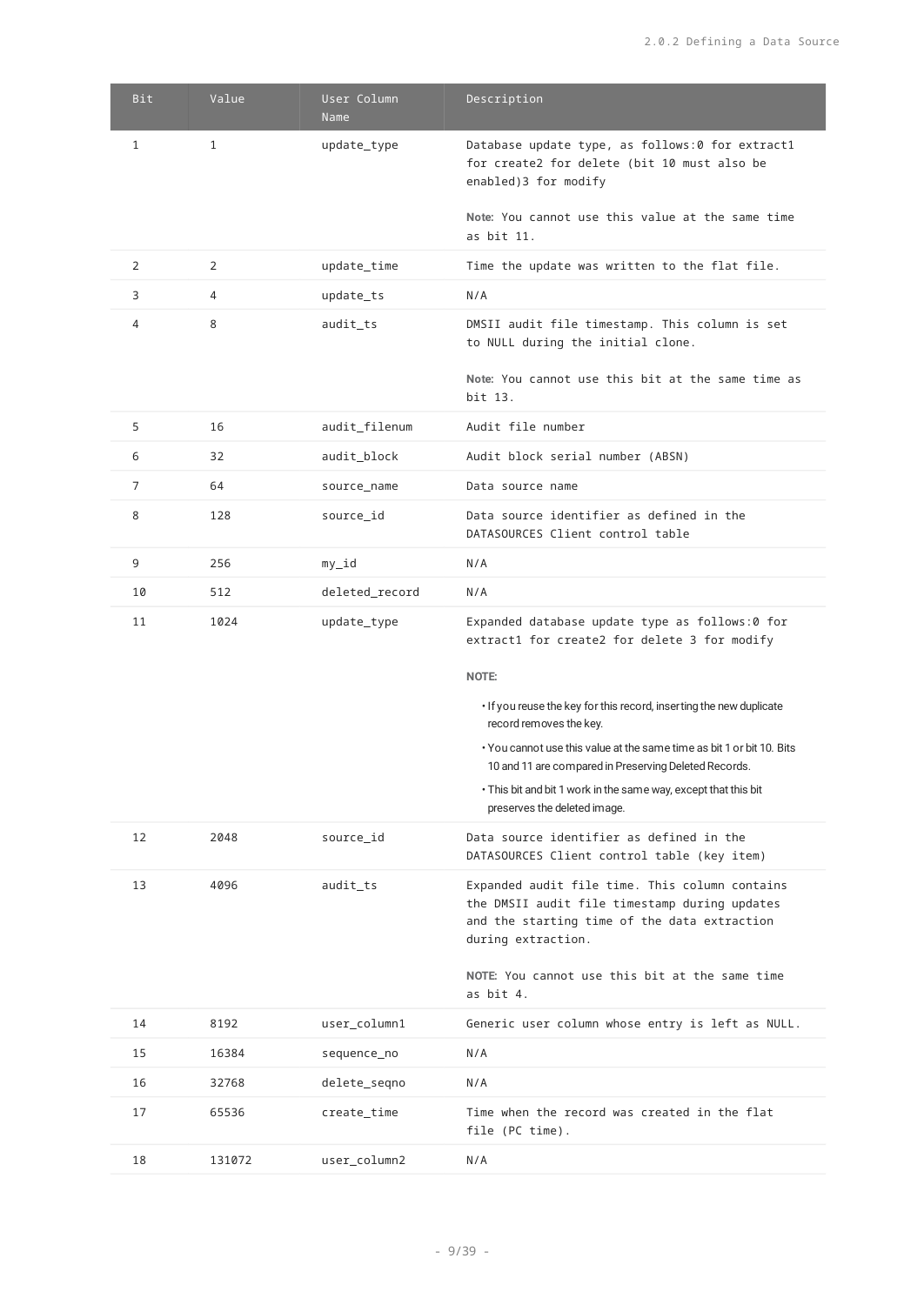| <b>Bit</b> | Value        | User Column<br>Name | Description                                                                                                                                                           |  |
|------------|--------------|---------------------|-----------------------------------------------------------------------------------------------------------------------------------------------------------------------|--|
| 1          | $\mathbf{1}$ | update_type         | Database update type, as follows:0 for extract1<br>for create2 for delete (bit 10 must also be<br>enabled)3 for modify                                                |  |
|            |              |                     | Note: You cannot use this value at the same time<br>as bit 11.                                                                                                        |  |
| 2          | 2            | update_time         | Time the update was written to the flat file.                                                                                                                         |  |
| 3          | 4            | update_ts           | N/A                                                                                                                                                                   |  |
| 4          | 8            | audit_ts            | DMSII audit file timestamp. This column is set<br>to NULL during the initial clone.                                                                                   |  |
|            |              |                     | Note: You cannot use this bit at the same time as<br>bit 13.                                                                                                          |  |
| 5          | 16           | audit_filenum       | Audit file number                                                                                                                                                     |  |
| 6          | 32           | audit_block         | Audit block serial number (ABSN)                                                                                                                                      |  |
| 7          | 64           | source_name         | Data source name                                                                                                                                                      |  |
| 8          | 128          | source_id           | Data source identifier as defined in the<br>DATASOURCES Client control table                                                                                          |  |
| 9          | 256          | $my_id$             | N/A                                                                                                                                                                   |  |
| 10         | 512          | deleted_record      | N/A                                                                                                                                                                   |  |
| 11         | 1024         | update_type         | Expanded database update type as follows:0 for<br>extract1 for create2 for delete 3 for modify                                                                        |  |
|            |              |                     | NOTE:                                                                                                                                                                 |  |
|            |              |                     | · If you reuse the key for this record, inserting the new duplicate<br>record removes the key.                                                                        |  |
|            |              |                     | • You cannot use this value at the same time as bit 1 or bit 10. Bits<br>10 and 11 are compared in Preserving Deleted Records.                                        |  |
|            |              |                     | • This bit and bit 1 work in the same way, except that this bit<br>preserves the deleted image.                                                                       |  |
| 12         | 2048         | source_id           | Data source identifier as defined in the<br>DATASOURCES Client control table (key item)                                                                               |  |
| 13         | 4096         | audit_ts            | Expanded audit file time. This column contains<br>the DMSII audit file timestamp during updates<br>and the starting time of the data extraction<br>during extraction. |  |
|            |              |                     | NOTE: You cannot use this bit at the same time<br>as bit 4.                                                                                                           |  |
| 14         | 8192         | user_column1        | Generic user column whose entry is left as NULL.                                                                                                                      |  |
| 15         | 16384        | sequence_no         | N/A                                                                                                                                                                   |  |
| 16         | 32768        | delete_seqno        | N/A                                                                                                                                                                   |  |
| 17         | 65536        | create_time         | Time when the record was created in the flat<br>file (PC time).                                                                                                       |  |
| 18         | 131072       | user_column2        | N/A                                                                                                                                                                   |  |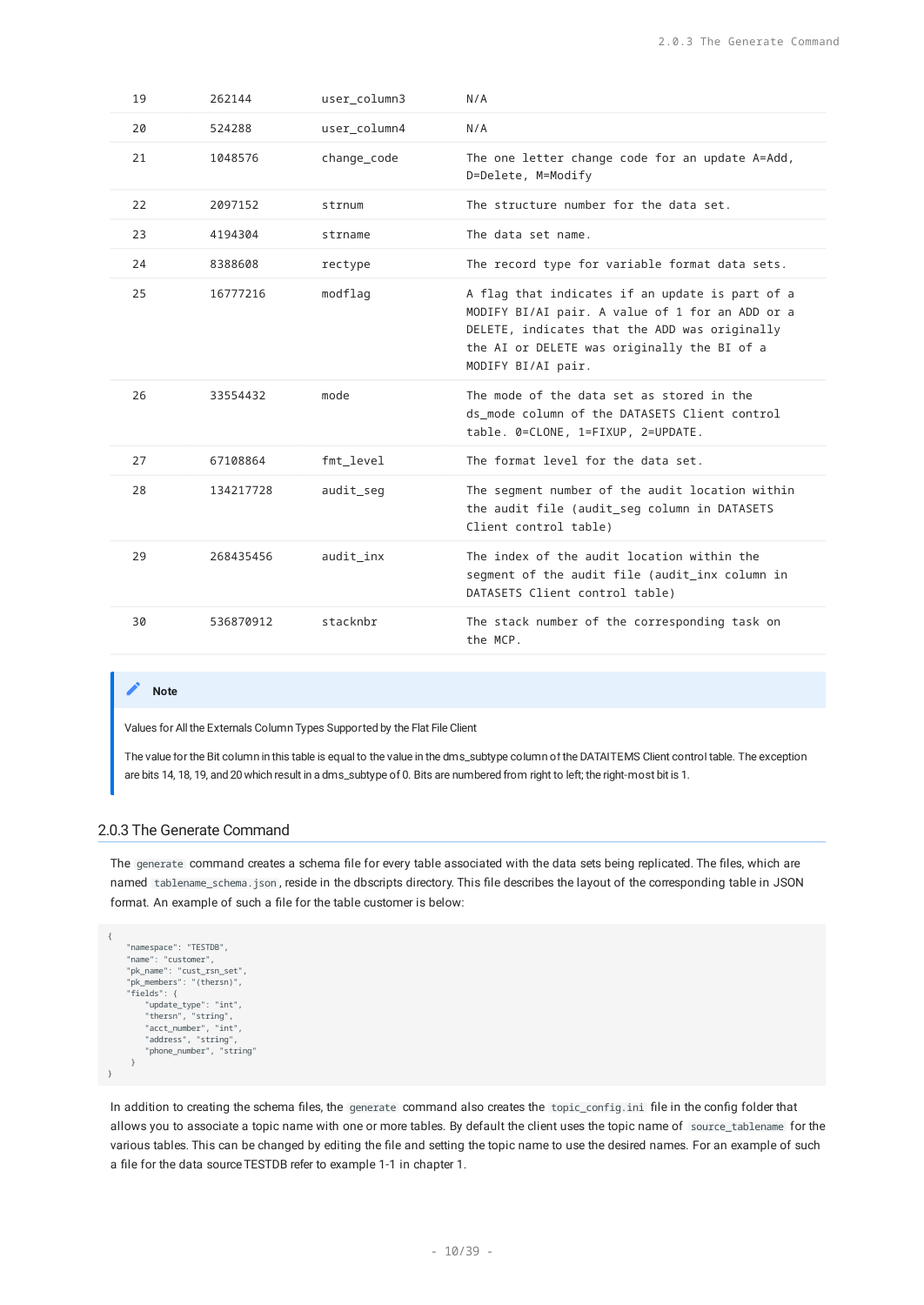| 19 | 262144    | user_column3 | N/A                                                                                                                                                                                                                      |
|----|-----------|--------------|--------------------------------------------------------------------------------------------------------------------------------------------------------------------------------------------------------------------------|
| 20 | 524288    | user_column4 | N/A                                                                                                                                                                                                                      |
| 21 | 1048576   | change_code  | The one letter change code for an update A=Add,<br>D=Delete, M=Modify                                                                                                                                                    |
| 22 | 2097152   | strnum       | The structure number for the data set.                                                                                                                                                                                   |
| 23 | 4194304   | strname      | The data set name.                                                                                                                                                                                                       |
| 24 | 8388608   | rectype      | The record type for variable format data sets.                                                                                                                                                                           |
| 25 | 16777216  | modflag      | A flag that indicates if an update is part of a<br>MODIFY BI/AI pair. A value of 1 for an ADD or a<br>DELETE, indicates that the ADD was originally<br>the AI or DELETE was originally the BI of a<br>MODIFY BI/AI pair. |
| 26 | 33554432  | mode         | The mode of the data set as stored in the<br>ds mode column of the DATASETS Client control<br>table. 0=CLONE, 1=FIXUP, 2=UPDATE.                                                                                         |
| 27 | 67108864  | fmt_level    | The format level for the data set.                                                                                                                                                                                       |
| 28 | 134217728 | audit_seq    | The segment number of the audit location within<br>the audit file (audit_seg column in DATASETS<br>Client control table)                                                                                                 |
| 29 | 268435456 | audit_inx    | The index of the audit location within the<br>segment of the audit file (audit_inx column in<br>DATASETS Client control table)                                                                                           |
| 30 |           |              |                                                                                                                                                                                                                          |

#### **Note**

Values for All the Externals Column Types Supported by the Flat File Client

The value for the Bit column in this table is equal to the value in the dms\_subtype column of the DATAITEMS Client control table. The exception are bits 14, 18, 19, and 20 which result in a dms\_subtype of 0. Bits are numbered from right to left; the right-most bit is 1.

#### <span id="page-9-0"></span>2.0.3 The Generate Command

The generate command creates a schema file for every table associated with the data sets being replicated. The files, which are named tablename\_schema.json , reside in the dbscripts directory. This file describes the layout of the corresponding table in JSON format. An example of such a file for the table customer is below:

```
{
       "namespace": "TESTDB",
 "name": "customer",
 "pk_name": "cust_rsn_set",
       "pk_members": "(thersn)",
 "fields": {
 "update_type": "int",
 "thersn", "string",
 "acct_number", "int",
 "address", "string",
             "phone_number", "string"
       }
\, }
```
In addition to creating the schema files, the generate command also creates the topic\_config.ini file in the config folder that allows you to associate a topic name with one or more tables. By default the client uses the topic name of source\_tablename for the various tables. This can be changed by editing the file and setting the topic name to use the desired names. For an example of such a file for the data source TESTDB refer to example 1-1 in chapter 1.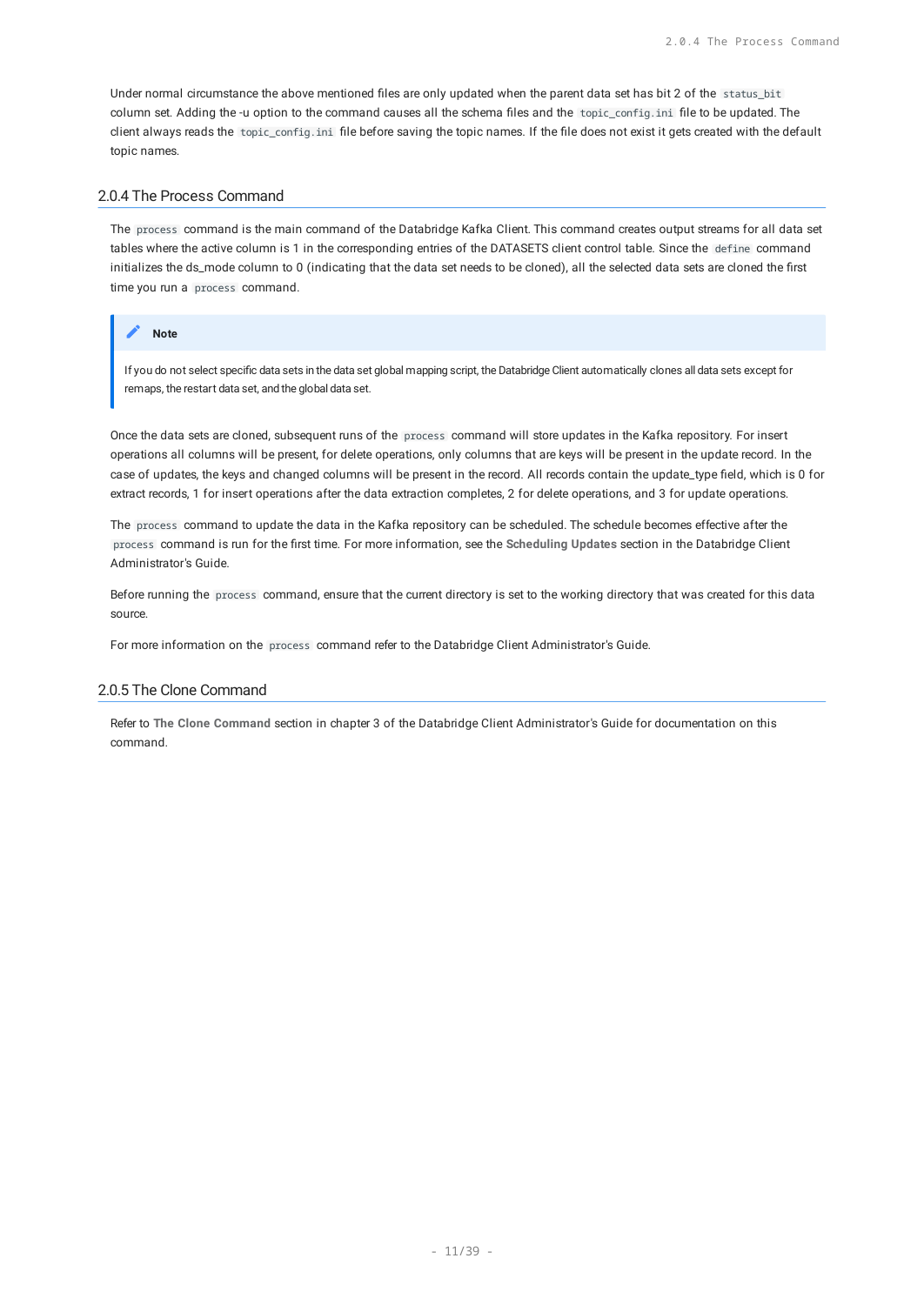Under normal circumstance the above mentioned files are only updated when the parent data set has bit 2 of the status\_bit column set. Adding the -u option to the command causes all the schema files and the topic\_config.ini file to be updated. The client always reads the topic config.ini file before saving the topic names. If the file does not exist it gets created with the default topic names.

#### <span id="page-10-0"></span>2.0.4 The Process Command

The process command is the main command of the Databridge Kafka Client. This command creates output streams for all data set tables where the active column is 1 in the corresponding entries of the DATASETS client control table. Since the define command initializes the ds\_mode column to 0 (indicating that the data set needs to be cloned), all the selected data sets are cloned the first time you run a process command.

#### **Note**

If you do not select specific data sets in the data set global mapping script, the Databridge Client automatically clones all data sets except for remaps, the restart data set, and the global data set.

Once the data sets are cloned, subsequent runs of the process command will store updates in the Kafka repository. For insert operations all columns will be present, for delete operations, only columns that are keys will be present in the update record. In the case of updates, the keys and changed columns will be present in the record. All records contain the update\_type field, which is 0 for extract records, 1 for insert operations after the data extraction completes, 2 for delete operations, and 3 for update operations.

The process command to update the data in the Kafka repository can be scheduled. The schedule becomes effective after the process command is run for the first time. For more information, see the **Scheduling Updates** section in the Databridge Client Administrator's Guide.

Before running the process command, ensure that the current directory is set to the working directory that was created for this data source.

For more information on the process command refer to the Databridge Client Administrator's Guide.

#### <span id="page-10-1"></span>2.0.5 The Clone Command

Refer to **The Clone Command** section in chapter 3 of the Databridge Client Administrator's Guide for documentation on this command.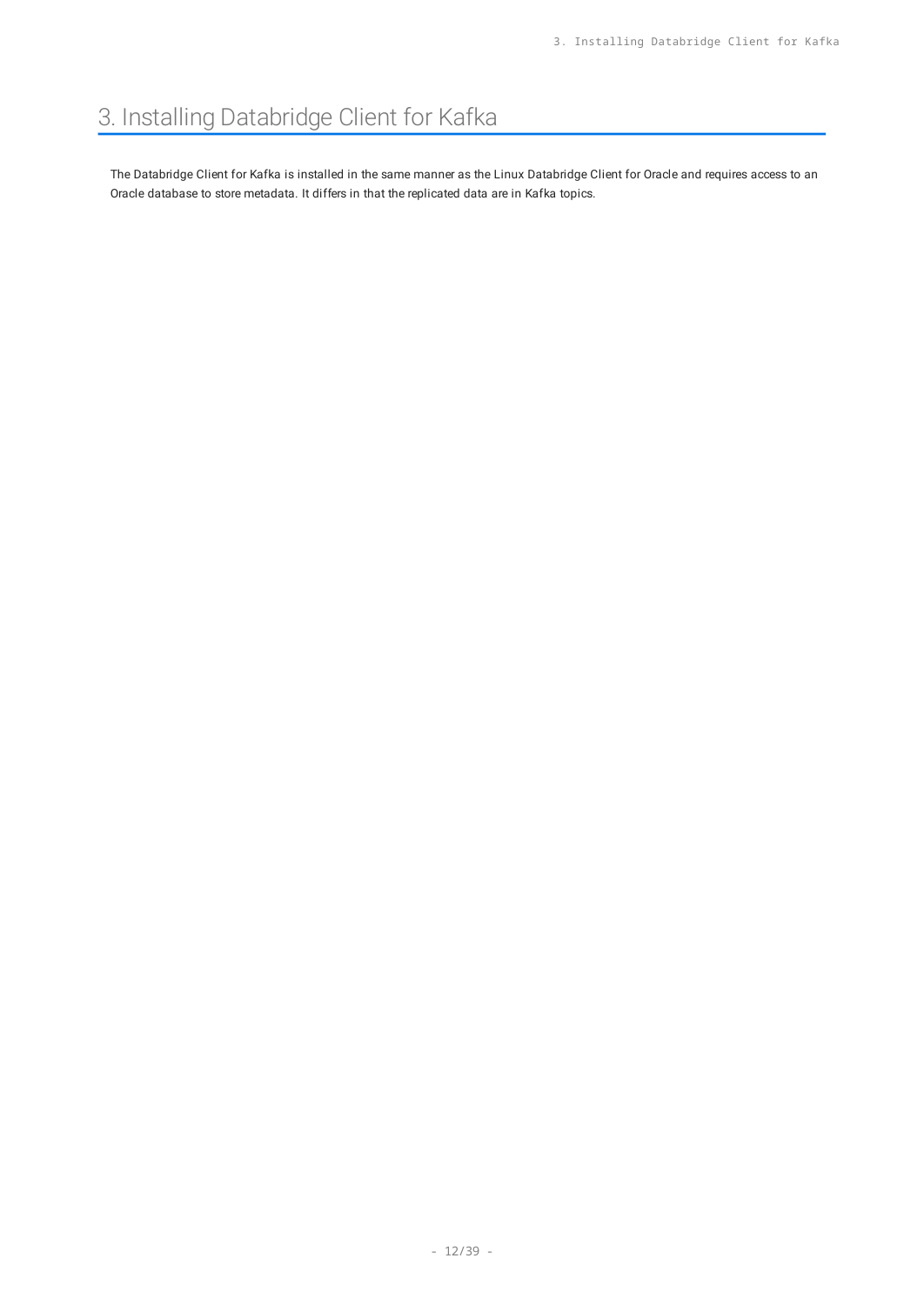# <span id="page-11-0"></span>3. Installing Databridge Client for Kafka

The Databridge Client for Kafka is installed in the same manner as the Linux Databridge Client for Oracle and requires access to an Oracle database to store metadata. It differs in that the replicated data are in Kafka topics.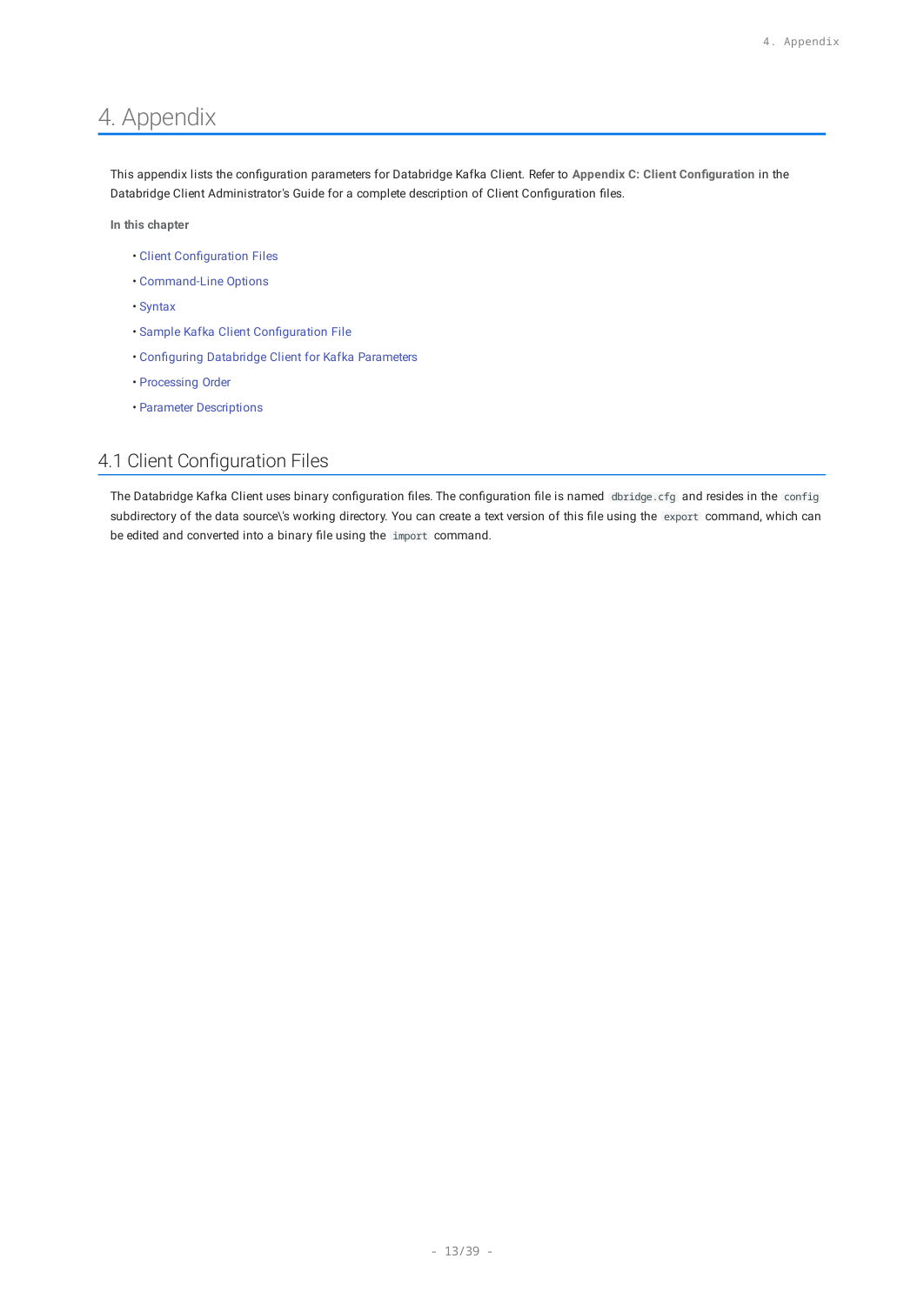### <span id="page-12-0"></span>4. Appendix

This appendix lists the configuration parameters for Databridge Kafka Client. Refer to **Appendix C: Client Configuration** in the Databridge Client Administrator's Guide for a complete description of Client Configuration files.

**In this chapter**

- Client Confi[guration Files](#page-12-1) •
- [Command-Line Options](#page-13-0) •
- [Syntax](#page-15-0) •
- **· [Sample Kafka Client Con](#page-15-1)figuration File**
- Configuring Databridge Client for Kafka Parameters •
- [Processing Order](#page-17-1) •
- Parameter Descriptions

### <span id="page-12-1"></span>4.1 Client Configuration Files

The Databridge Kafka Client uses binary configuration files. The configuration file is named dbridge.cfg and resides in the config subdirectory of the data source\'s working directory. You can create a text version of this file using the export command, which can be edited and converted into a binary file using the import command.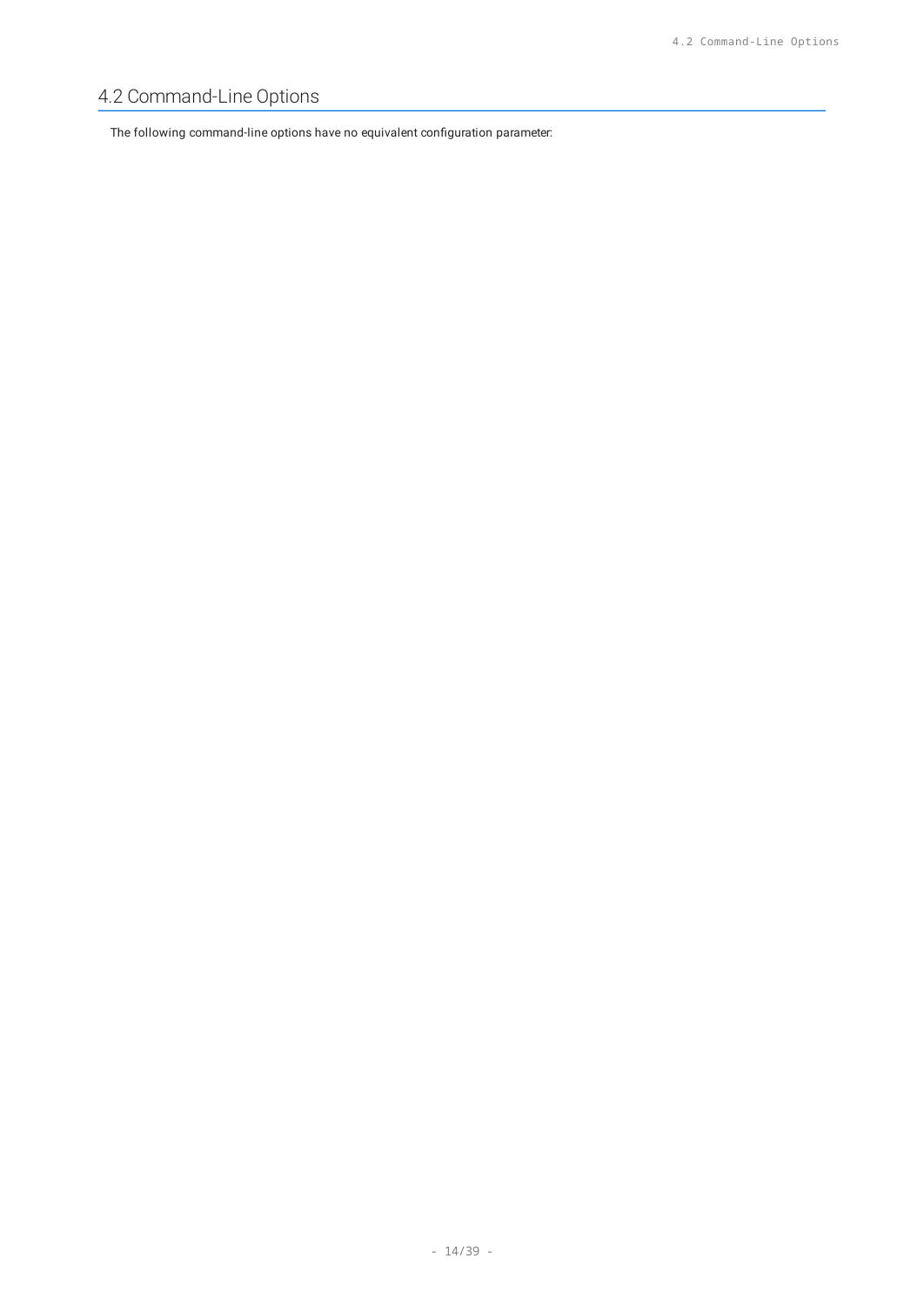### <span id="page-13-0"></span>4.2 Command-Line Options

The following command-line options have no equivalent configuration parameter: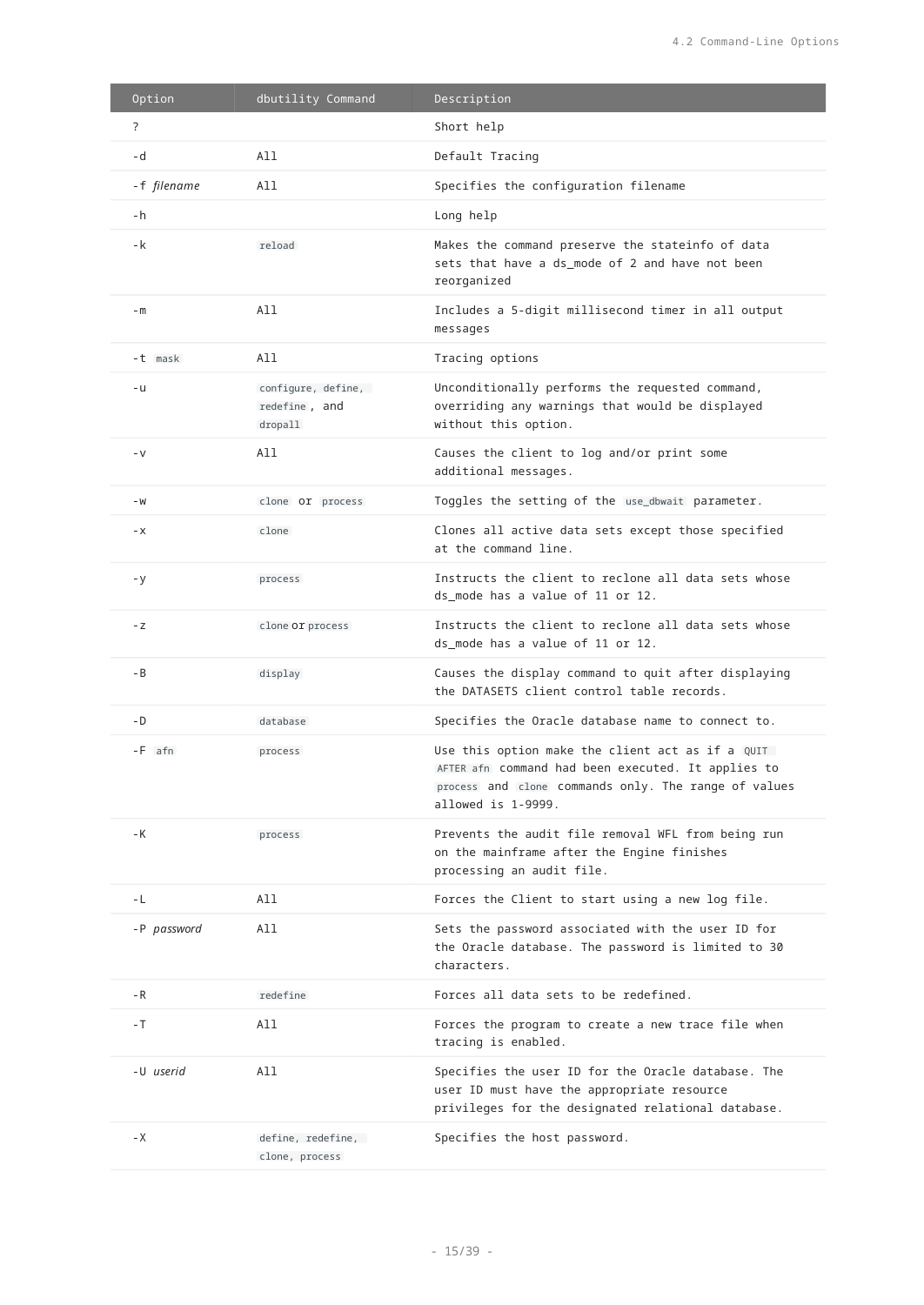| Option         | dbutility Command                              | Description                                                                                                                                                                          |  |
|----------------|------------------------------------------------|--------------------------------------------------------------------------------------------------------------------------------------------------------------------------------------|--|
| $\overline{?}$ |                                                | Short help                                                                                                                                                                           |  |
| - d            | All                                            | Default Tracing                                                                                                                                                                      |  |
| -f filename    | All                                            | Specifies the configuration filename                                                                                                                                                 |  |
| -h             |                                                | Long help                                                                                                                                                                            |  |
| -k             | reload                                         | Makes the command preserve the stateinfo of data<br>sets that have a ds_mode of 2 and have not been<br>reorganized                                                                   |  |
| - m            | All                                            | Includes a 5-digit millisecond timer in all output<br>messages                                                                                                                       |  |
| -t mask        | All                                            | Tracing options                                                                                                                                                                      |  |
| - u            | configure, define,<br>redefine, and<br>dropall | Unconditionally performs the requested command,<br>overriding any warnings that would be displayed<br>without this option.                                                           |  |
| $-V$           | All                                            | Causes the client to log and/or print some<br>additional messages.                                                                                                                   |  |
| $-W$           | clone Or process                               | Toggles the setting of the use_dbwait parameter.                                                                                                                                     |  |
| $- x$          | clone                                          | Clones all active data sets except those specified<br>at the command line.                                                                                                           |  |
| -у             | process                                        | Instructs the client to reclone all data sets whose<br>ds_mode has a value of 11 or 12.                                                                                              |  |
| $-Z$           | clone Of process                               | Instructs the client to reclone all data sets whose<br>ds_mode has a value of 11 or 12.                                                                                              |  |
| $-B$           | display                                        | Causes the display command to quit after displaying<br>the DATASETS client control table records.                                                                                    |  |
| $-D$           | database                                       | Specifies the Oracle database name to connect to.                                                                                                                                    |  |
| -F afn         | process                                        | Use this option make the client act as if a QUIT<br>AFTER afn command had been executed. It applies to<br>process and clone commands only. The range of values<br>allowed is 1-9999. |  |
| - K            | process                                        | Prevents the audit file removal WFL from being run<br>on the mainframe after the Engine finishes<br>processing an audit file.                                                        |  |
| $-L$           | A11                                            | Forces the Client to start using a new log file.                                                                                                                                     |  |
| -P password    | All                                            | Sets the password associated with the user ID for<br>the Oracle database. The password is limited to 30<br>characters.                                                               |  |
| $-R$           | redefine                                       | Forces all data sets to be redefined.                                                                                                                                                |  |
| -T             | All                                            | Forces the program to create a new trace file when<br>tracing is enabled.                                                                                                            |  |
| -U userid      | A11                                            | Specifies the user ID for the Oracle database. The<br>user ID must have the appropriate resource<br>privileges for the designated relational database.                               |  |
| – X            | define, redefine,<br>clone, process            | Specifies the host password.                                                                                                                                                         |  |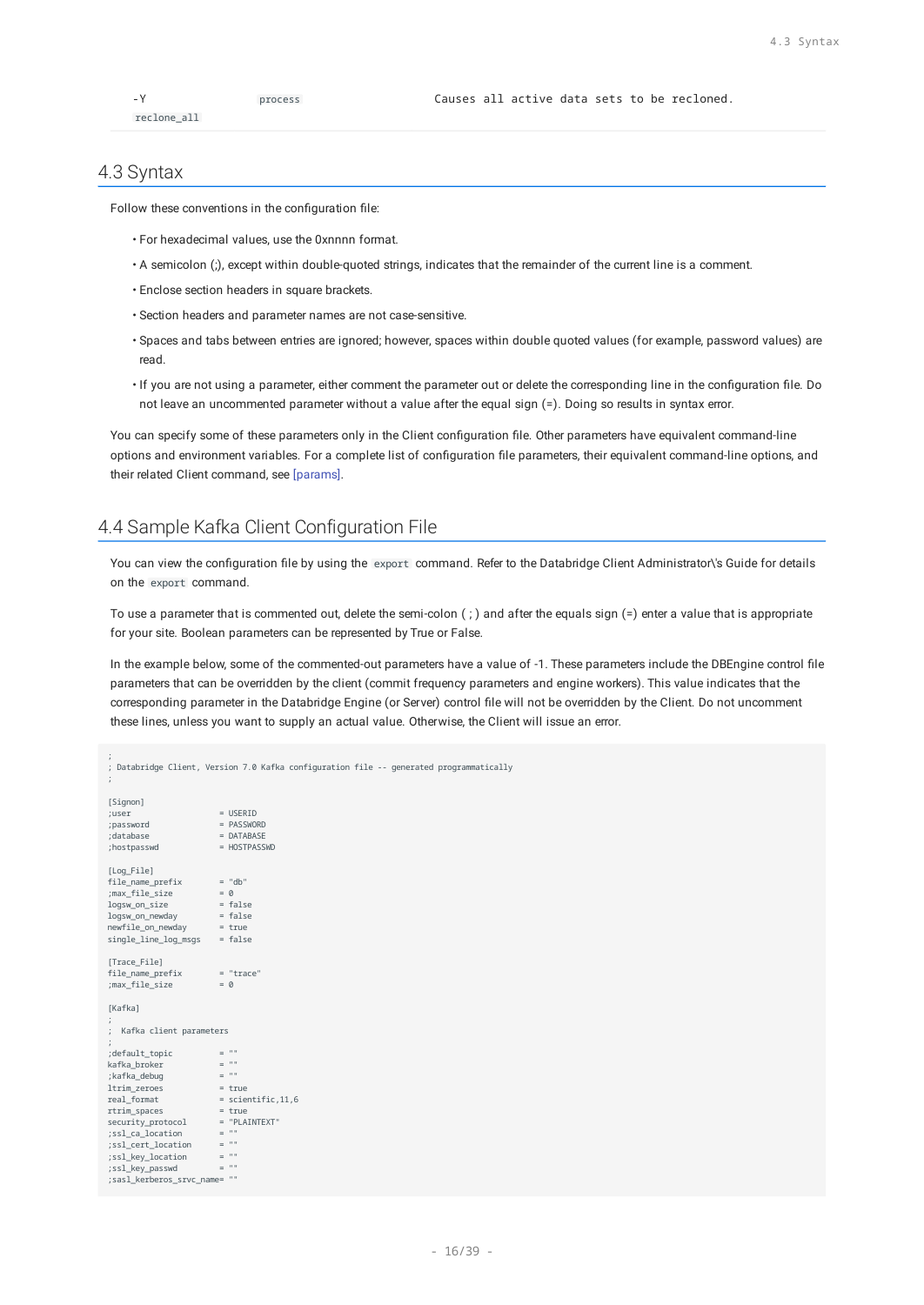#### <span id="page-15-0"></span>4.3 Syntax

;

Follow these conventions in the configuration file:

- For hexadecimal values, use the 0xnnnn format. •
- $\cdot$  A semicolon (;), except within double-quoted strings, indicates that the remainder of the current line is a comment.
- Enclose section headers in square brackets. •
- Section headers and parameter names are not case-sensitive. •
- Spaces and tabs between entries are ignored; however, spaces within double quoted values (for example, password values) are read.
- If you are not using a parameter, either comment the parameter out or delete the corresponding line in the configuration file. Do not leave an uncommented parameter without a value after the equal sign (=). Doing so results in syntax error.

You can specify some of these parameters only in the Client configuration file. Other parameters have equivalent command-line options and environment variables. For a complete list of configuration file parameters, their equivalent command-line options, and their related Client command, see [params].

#### <span id="page-15-1"></span>4.4 Sample Kafka Client Configuration File

You can view the configuration file by using the export command. Refer to the Databridge Client Administrator\'s Guide for details on the export command.

To use a parameter that is commented out, delete the semi-colon  $( \cdot )$  and after the equals sign  $( = )$  enter a value that is appropriate for your site. Boolean parameters can be represented by True or False.

In the example below, some of the commented-out parameters have a value of -1. These parameters include the DBEngine control file parameters that can be overridden by the client (commit frequency parameters and engine workers). This value indicates that the corresponding parameter in the Databridge Engine (or Server) control file will not be overridden by the Client. Do not uncomment these lines, unless you want to supply an actual value. Otherwise, the Client will issue an error.

| ï                            | ; Databridge Client, Version 7.0 Kafka configuration file -- generated programmatically |
|------------------------------|-----------------------------------------------------------------------------------------|
| [Signon]                     |                                                                                         |
| ;user                        | $=$ USERID                                                                              |
| ;password                    | = PASSWORD                                                                              |
| ;database                    | $=$ DATABASE                                                                            |
| ; hostpasswd                 | = HOSTPASSWD                                                                            |
| [Log_File]                   |                                                                                         |
| file_name_prefix             | $=$ "db"                                                                                |
| ;max_file_size               | $= 0$                                                                                   |
| logsw_on_size                | = false                                                                                 |
| logsw_on_newday              | = false                                                                                 |
| newfile_on_newday = true     |                                                                                         |
| single_line_log_msgs = false |                                                                                         |
| [Trace_File]                 |                                                                                         |
| file_name_prefix             | = "trace"                                                                               |
| ;max file size               | $= 0$                                                                                   |
| [Kafka]                      |                                                                                         |
|                              |                                                                                         |
| Kafka client parameters      |                                                                                         |
| ;default topic               | $=$ $111$                                                                               |
| kafka_broker                 | $=$ $111$                                                                               |
| ; kafka debug                | $=$ $111$                                                                               |
| ltrim_zeroes                 | = true                                                                                  |
| real_format                  | scientific,11,6 =                                                                       |
| rtrim_spaces                 | $= true$                                                                                |
| security_protocol            | = "PLAINTEXT"                                                                           |
| ;ssl_ca_location             | $=$ $100$                                                                               |
| ;ssl_cert_location           | $=$ $111$                                                                               |
| ;ssl_key_location            | $=$ $100$                                                                               |
| ;ssl_key_passwd              | $=$ $111$                                                                               |
| ;sasl_kerberos_srvc_name=    | $-11.11$                                                                                |
|                              |                                                                                         |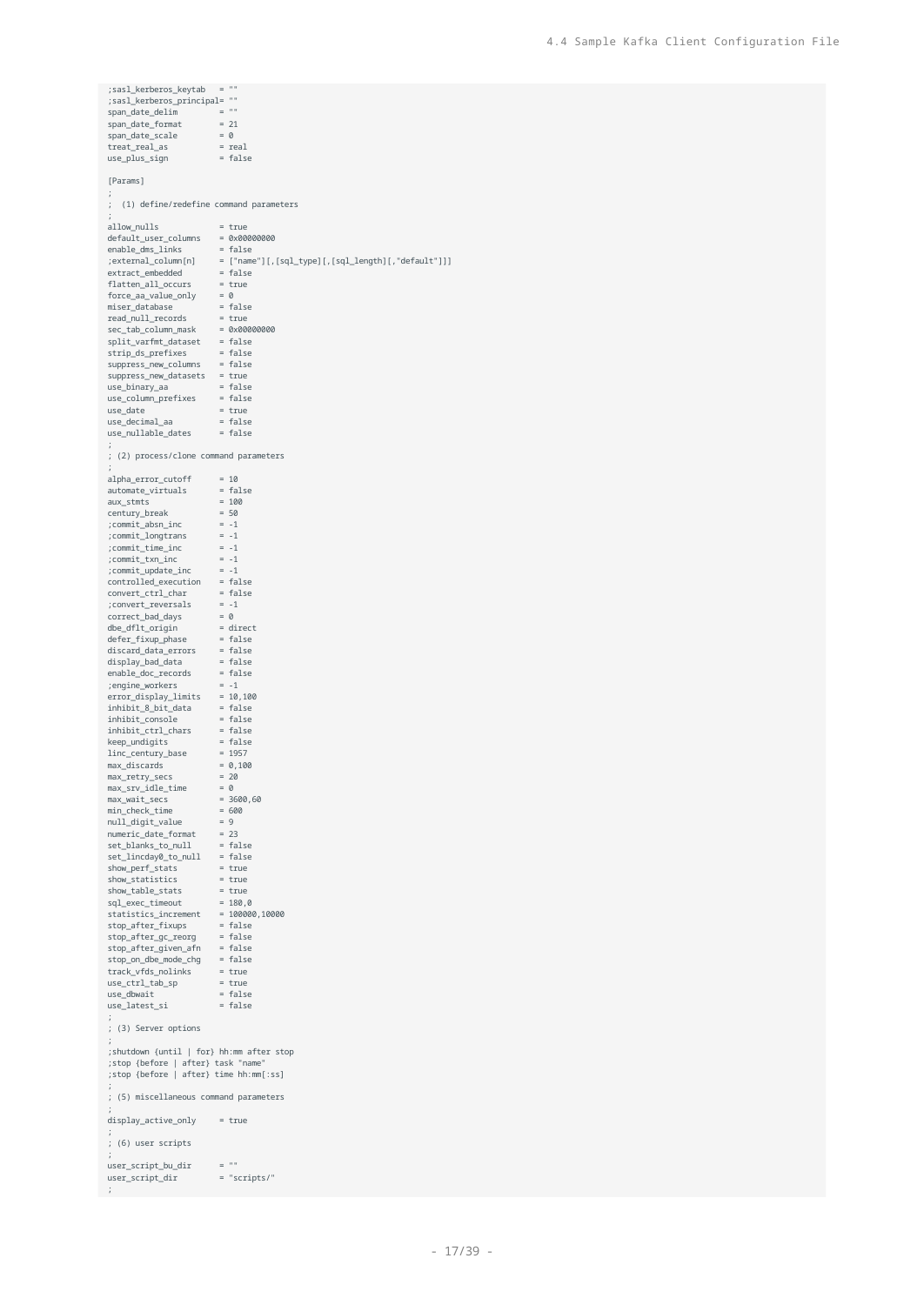;sasl\_kerberos\_keytab = "" ; sasl\_kerberos\_principal= ""<br>span\_date\_delim = ""<br>span\_date\_format = 21 span\_date\_delim = "" span\_date\_format = 21 span\_date\_scale = 0 treat\_real\_as = real use\_plus\_sign = false [Params] ; ; (1) define/redefine command parameters ; allow\_nulls = true  $default_user\_columns$  =  $0x00000000$ enable\_dms\_links = false<br>;external\_column[n] = ["name  $=$  ["name"][,[sql\_type][,[sql\_length][,"default"]]] extract\_embedded = false<br>flatten\_all\_occurs = true  $extract$ \_empedded = T<br>flatten\_all\_occurs = tr<br>force aa value only = 0 force\_aa\_value\_only = 0<br>miser\_database = false miser\_database  $read\_null\_records$  = true<br>sec tab column mask =  $\alpha$  $sec\_tab\_column\_mask$ split\_varfmt\_dataset = false<br>strip ds prefixes = false strip\_ds\_prefixes = false<br>suppress new columns = false suppress\_new\_columns suppress\_new\_datasets = true<br>use\_binary\_aa = false use\_binary\_aa = false<br>use column prefixes = false  $use\_column\_prefixes$  = false<br>use date = true use\_date = true use\_decimal\_aa = false use\_nullable\_dates = false ; ; (2) process/clone command parameters ;<br>alpha\_error\_cutoff = 10 automate\_virtuals = false<br>aux stmts = 100  $aux\_stmts$  = 100<br>century break = 50  $century\_break$  = 50<br>  $:commit$  absn inc = -1 ;commit\_absn\_inc = -1 ;commit\_longtrans = -1 ; commit\_time\_inc = -1<br>:commit txn inc = -1 ;  $committ\_txn\_inc$  = -1<br>;  $committ\_update\_inc$  = -1  $;$  commit\_update\_inc = -1<br>controlled execution = false controlled\_execution = false<br>convert ctrl char = false convert\_ctrl\_char = fals<br>;convert\_reversals = -1 ; convert\_reversals = -1<br>correct\_bad days =  $\emptyset$ correct\_bad\_days = 0 dbe\_dflt\_origin = direct  $defer_fixup-phase = false$ <br>discard data errors = false discard\_data\_errors = false<br>display\_bad\_data = false display\_bad\_data = false<br>enable\_doc\_records = false  $enable\_doc\_records$ ;engine\_workers = -1<br>error\_display\_limits = 10,100 error\_display\_limits = 10,10<br>inhibit 8 bit data = false  $inhibit_8_bit_data$ inhibit\_console = false inhibit\_ctrl\_chars = false<br>keep\_undigits = false  $keep\_undigits = false$ <br>  $line century base = 1957$ linc\_century\_base = 1957<br>max\_discards = 0,100  $max\_discards$  = 0,1<br>  $max$  retry secs = 20  $max\_ctry\_secs$  = 0,<br>max\_retry\_secs = 20<br>max\_srv\_idle\_time = 0  $max\_srv\_idle\_time$ <br>  $max\_srv\_idle\_time$  = 0<br>  $max\_wait~secs$  = 3600.60  $max\_wait\_secs$ min\_check\_time =  $600$ <br>null digit value =  $9$  $null\_digit\_value$  = 9<br>  $numeric date format$  = 23  $numeric_data_format$ set\_blanks\_to\_null = false<br>set\_lincday0\_to\_null = false set\_lincday0\_to\_null show\_perf\_stats = true<br>show\_statistics = true show\_statistics = true<br>show\_table\_stats = true<br>true = true  $show\_table\_stats$  $sql\_exec\_timeout$  = 180,0<br>statistics\_increment = 100000,10000  $statistics\_increment = 10000$ <br>stop after fixins = false stop\_after\_fixups stop\_after\_gc\_reorg = false<br>stop after given afn = false  $stop\_after\_given\_strong$  = false<br>stop\_after\_given\_afn = false<br>stop\_on\_dbe\_mode\_chg = false stop\_on\_dbe\_mode\_chg = false track\_vfds\_nolinks = true  $use_ctrl_tab_sp$  = true<br>use dbwait = false use\_dbwait = false use\_latest\_si = false ; ; (3) Server options ; ;shutdown {until | for} hh:mm after stop ;stop {before | after} task "name" ;stop {before | after} time hh:mm[:ss] ; ; (5) miscellaneous command parameters ; display\_active\_only = true ; ; (6) user scripts ; user\_script\_bu\_dir = "" user\_script\_dir = "scripts/" ;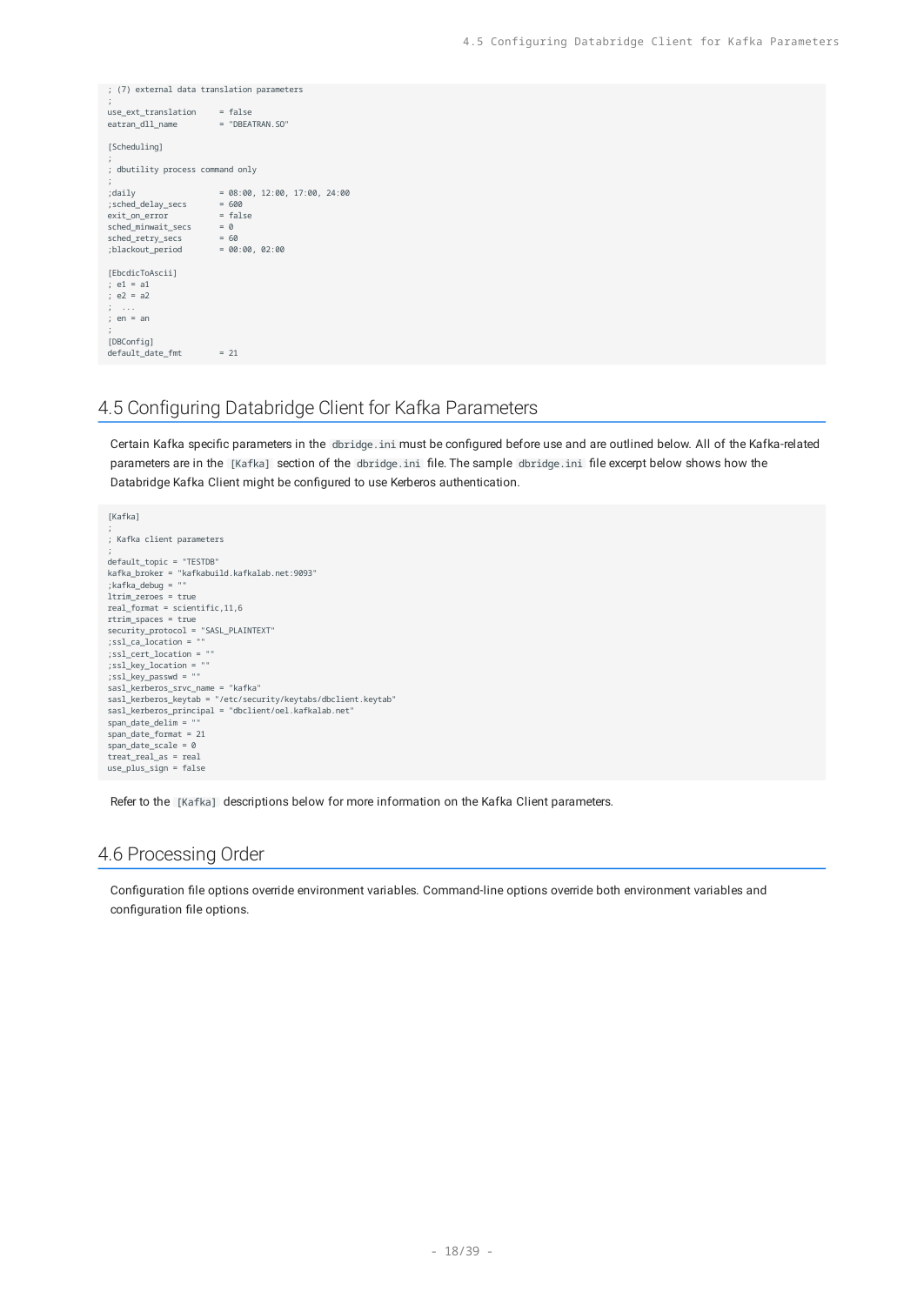```
; (7) external data translation parameters
 ;
use_ext_translation = false
eatran_dll_name = "DBEATRAN.SO"
 [Scheduling]
 ;
; dbutility process command only
 ,<br>daily;
                           = 08:00, 12:00, 17:00, 24:00<br>= 600
 ;sched_delay_secs = 600<br>exit on error = false
 exit_on_error = false
sched_minwait_secs = 0
 sched\_minwait\_secs = 0<br>
sched\_retry\_secs = 60
 ;blackout_period = 00:00, 02:00
 [EbcdicToAscii]
 ; e1 = a1
; e2 = a2
 ; ...
 ; en = an
 ;
[DBConfig]
 default_data\_fmt = 21
```
### <span id="page-17-0"></span>4.5 Configuring Databridge Client for Kafka Parameters

Certain Kafka specific parameters in the dbridge.ini must be configured before use and are outlined below. All of the Kafka-related parameters are in the [Kafka] section of the dbridge.ini file. The sample dbridge.ini file excerpt below shows how the Databridge Kafka Client might be configured to use Kerberos authentication.

```
[Kafka]
;
; Kafka client parameters
;
default_topic = "TESTDB"
kafka_broker = "kafkabuild.kafkalab.net:9093"
;kafka_debug = ""
ltrim_zeroes = true
real_format = scientific,11,6
rtrim_spaces = true
security_protocol = "SASL_PLAINTEXT"
;ssl_ca_location = ""
;ssl_cert_location = ""
;ssl_key_location = ""
;ssl_key_passwd = ""
sasl_kerberos_srvc_name = "kafka"
sasl_kerberos_keytab = "/etc/security/keytabs/dbclient.keytab"
sasl kerberos principal = "dbclient/oel.kafkalab.net"
span\_date\_delim =span_date_format = 21
span_date_scale = 0treat_real_as = real
use_plus_sign = false
```
Refer to the [Kafka] descriptions below for more information on the Kafka Client parameters.

#### <span id="page-17-1"></span>4.6 Processing Order

Configuration file options override environment variables. Command-line options override both environment variables and configuration file options.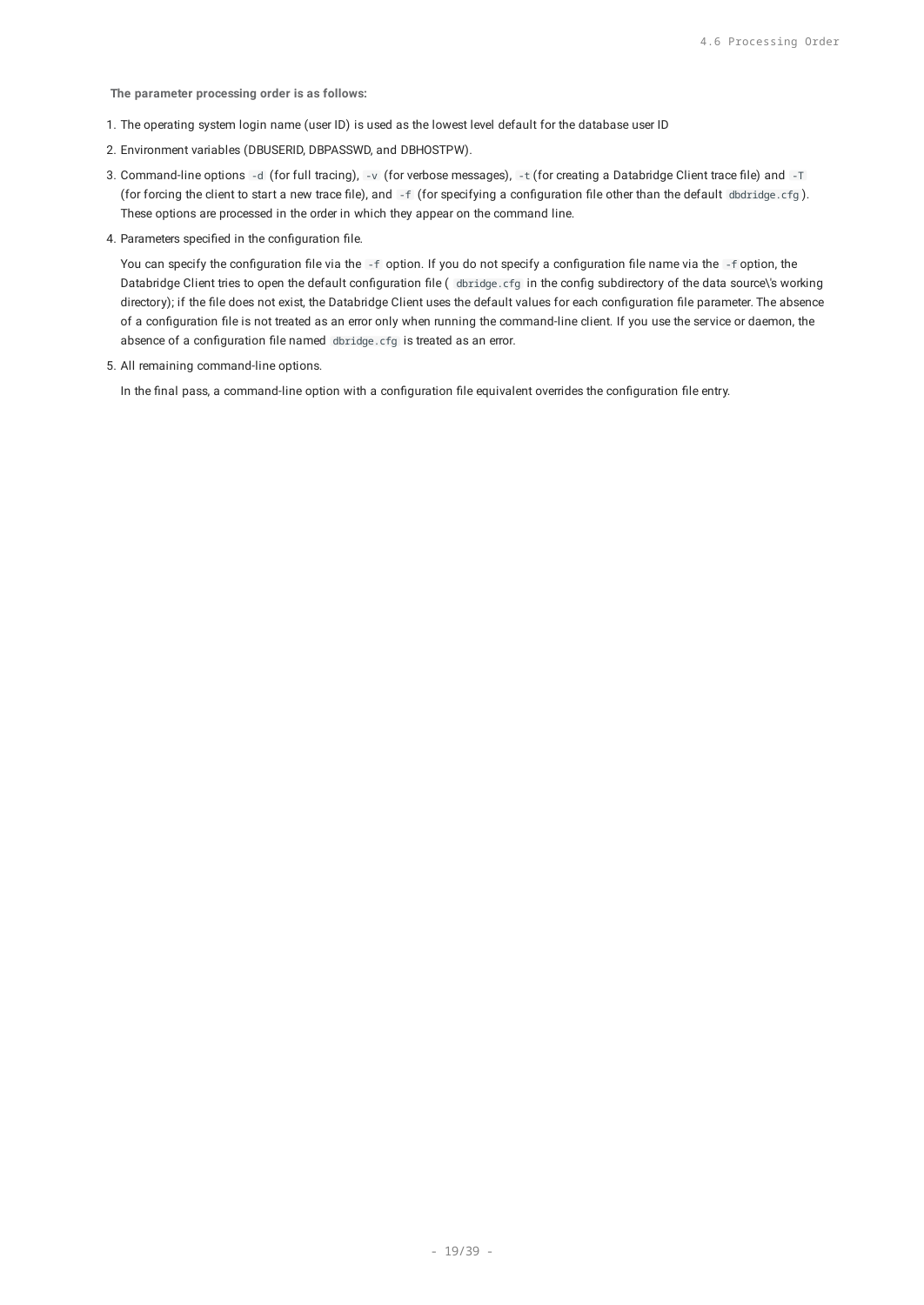**The parameter processing order is as follows:**

- 1. The operating system login name (user ID) is used as the lowest level default for the database user ID
- 2. Environment variables (DBUSERID, DBPASSWD, and DBHOSTPW).
- 3. Command-line options -d (for full tracing), -v (for verbose messages), -t (for creating a Databridge Client trace file) and -T (for forcing the client to start a new trace file), and -f (for specifying a configuration file other than the default dbdridge.cfg ). These options are processed in the order in which they appear on the command line.
- 4. Parameters specified in the configuration file.

You can specify the configuration file via the -f option. If you do not specify a configuration file name via the -f option, the Databridge Client tries to open the default configuration file ( dbridge.cfg in the config subdirectory of the data source\'s working directory); if the file does not exist, the Databridge Client uses the default values for each configuration file parameter. The absence of a configuration file is not treated as an error only when running the command-line client. If you use the service or daemon, the absence of a configuration file named dbridge.cfg is treated as an error.

5. All remaining command-line options.

In the final pass, a command-line option with a configuration file equivalent overrides the configuration file entry.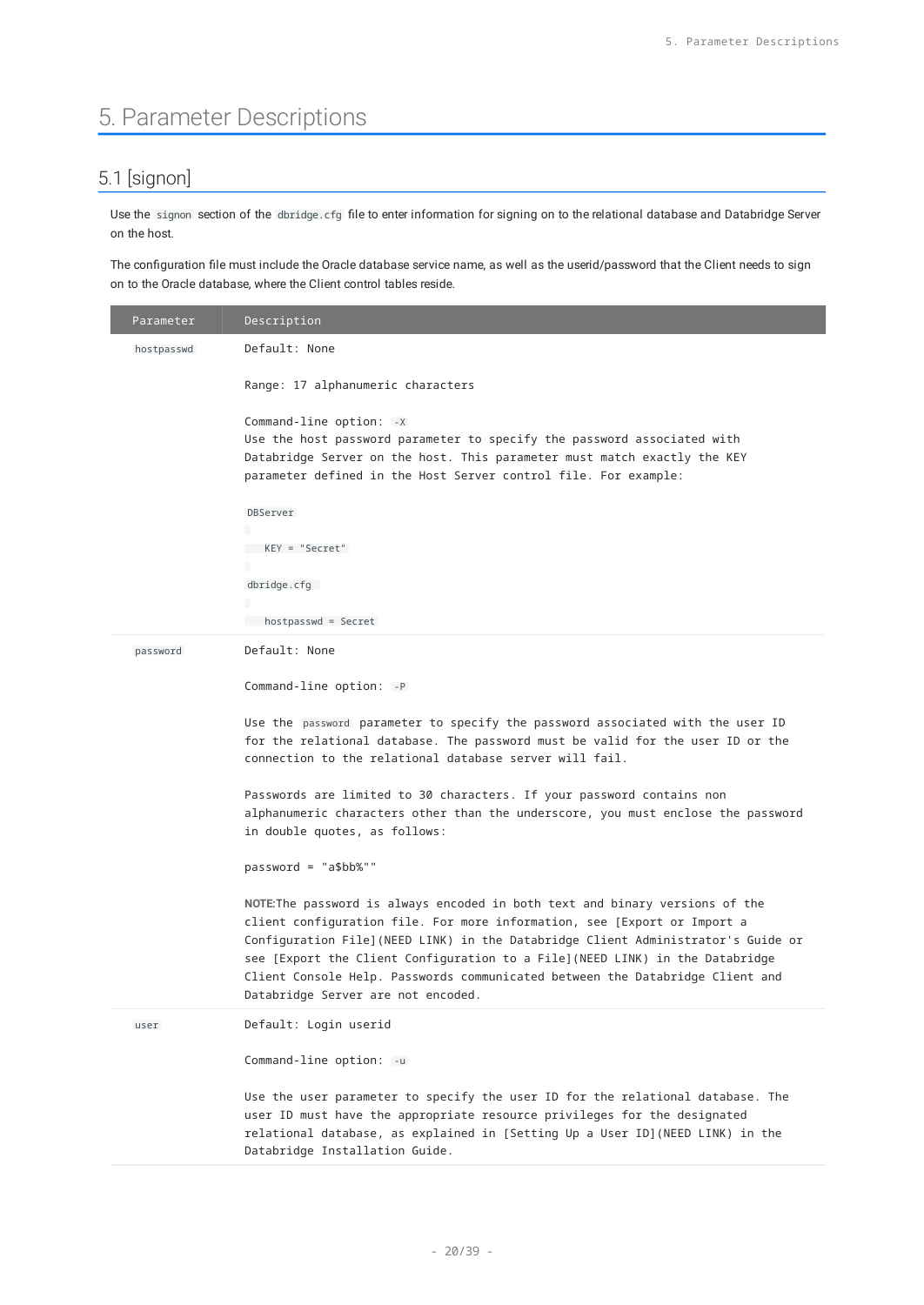# <span id="page-19-0"></span>5. Parameter Descriptions

### <span id="page-19-1"></span>5.1 [signon]

Use the signon section of the dbridge.cfg file to enter information for signing on to the relational database and Databridge Server on the host.

The configuration file must include the Oracle database service name, as well as the userid/password that the Client needs to sign on to the Oracle database, where the Client control tables reside.

| Parameter  | Description                                                                                                                                                                                                                                                                                                                                                                                                                                         |
|------------|-----------------------------------------------------------------------------------------------------------------------------------------------------------------------------------------------------------------------------------------------------------------------------------------------------------------------------------------------------------------------------------------------------------------------------------------------------|
| hostpasswd | Default: None                                                                                                                                                                                                                                                                                                                                                                                                                                       |
|            | Range: 17 alphanumeric characters                                                                                                                                                                                                                                                                                                                                                                                                                   |
|            | Command-line option: -X<br>Use the host password parameter to specify the password associated with<br>Databridge Server on the host. This parameter must match exactly the KEY<br>parameter defined in the Host Server control file. For example:                                                                                                                                                                                                   |
|            | DBServer                                                                                                                                                                                                                                                                                                                                                                                                                                            |
|            | KEY = "Secret"                                                                                                                                                                                                                                                                                                                                                                                                                                      |
|            | dbridge.cfg<br>٠                                                                                                                                                                                                                                                                                                                                                                                                                                    |
|            | hostpasswd = Secret                                                                                                                                                                                                                                                                                                                                                                                                                                 |
| password   | Default: None                                                                                                                                                                                                                                                                                                                                                                                                                                       |
|            | Command-line option: -P                                                                                                                                                                                                                                                                                                                                                                                                                             |
|            | Use the password parameter to specify the password associated with the user ID<br>for the relational database. The password must be valid for the user ID or the<br>connection to the relational database server will fail.                                                                                                                                                                                                                         |
|            | Passwords are limited to 30 characters. If your password contains non<br>alphanumeric characters other than the underscore, you must enclose the password<br>in double quotes, as follows:                                                                                                                                                                                                                                                          |
|            | $password = "a$bb%"$                                                                                                                                                                                                                                                                                                                                                                                                                                |
|            | NOTE:The password is always encoded in both text and binary versions of the<br>client configuration file. For more information, see [Export or Import a<br>Configuration File](NEED LINK) in the Databridge Client Administrator's Guide or<br>see [Export the Client Configuration to a File] (NEED LINK) in the Databridge<br>Client Console Help. Passwords communicated between the Databridge Client and<br>Databridge Server are not encoded. |
| user       | Default: Login userid                                                                                                                                                                                                                                                                                                                                                                                                                               |
|            | Command-line option: -u                                                                                                                                                                                                                                                                                                                                                                                                                             |
|            | Use the user parameter to specify the user ID for the relational database. The<br>user ID must have the appropriate resource privileges for the designated<br>relational database, as explained in [Setting Up a User ID] (NEED LINK) in the<br>Databridge Installation Guide.                                                                                                                                                                      |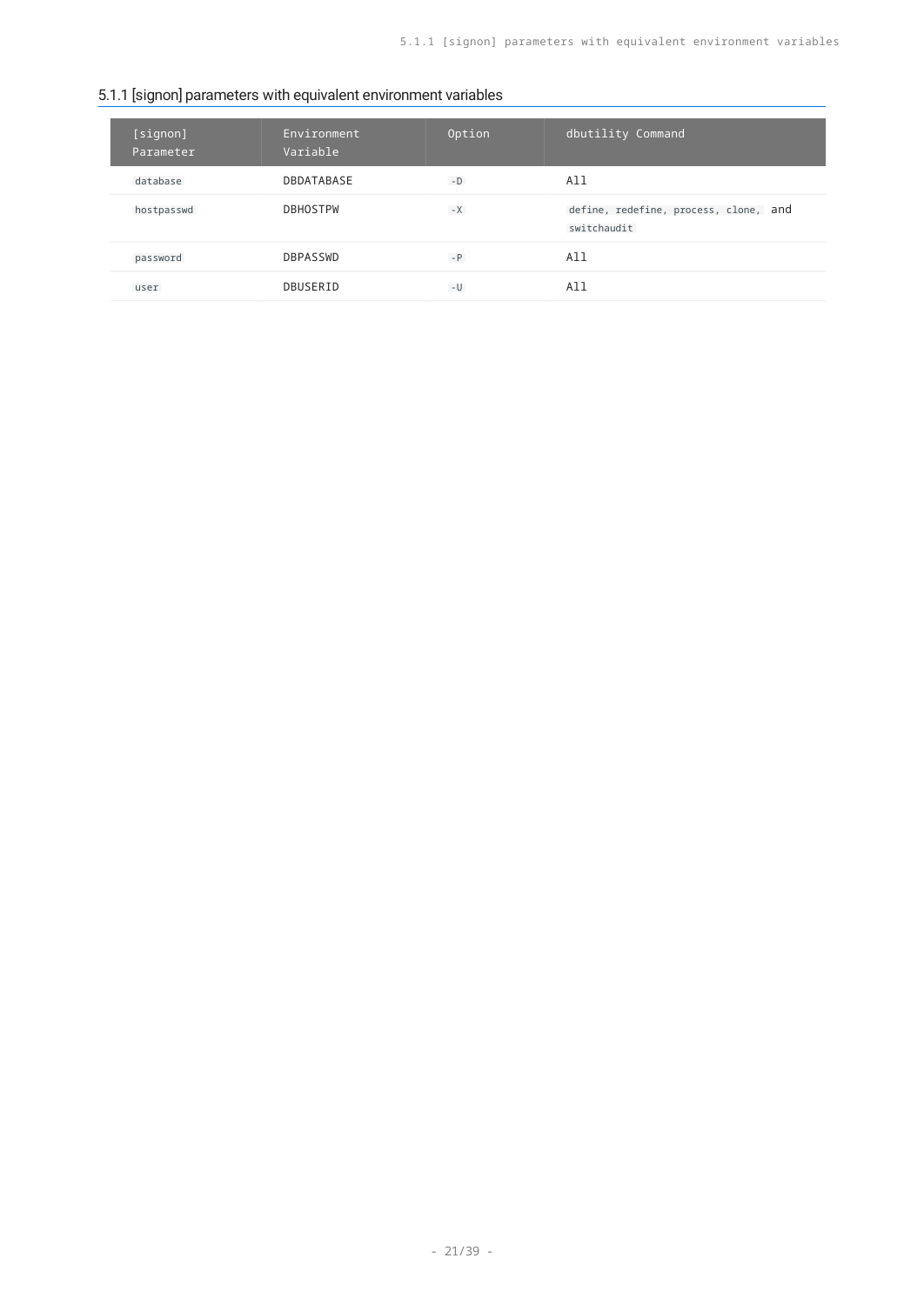### 5.1.1 [signon] parameters with equivalent environment variables

| [signon]<br>Parameter | Environment<br>Variable | Option | dbutility Command                                    |
|-----------------------|-------------------------|--------|------------------------------------------------------|
| database              | DBDATABASE              | $-D$   | All                                                  |
| hostpasswd            | <b>DBHOSTPW</b>         | $-X$   | define, redefine, process, clone, and<br>switchaudit |
| password              | <b>DBPASSWD</b>         | $-P$   | All                                                  |
| user                  | DBUSERID                | $-U$   | All                                                  |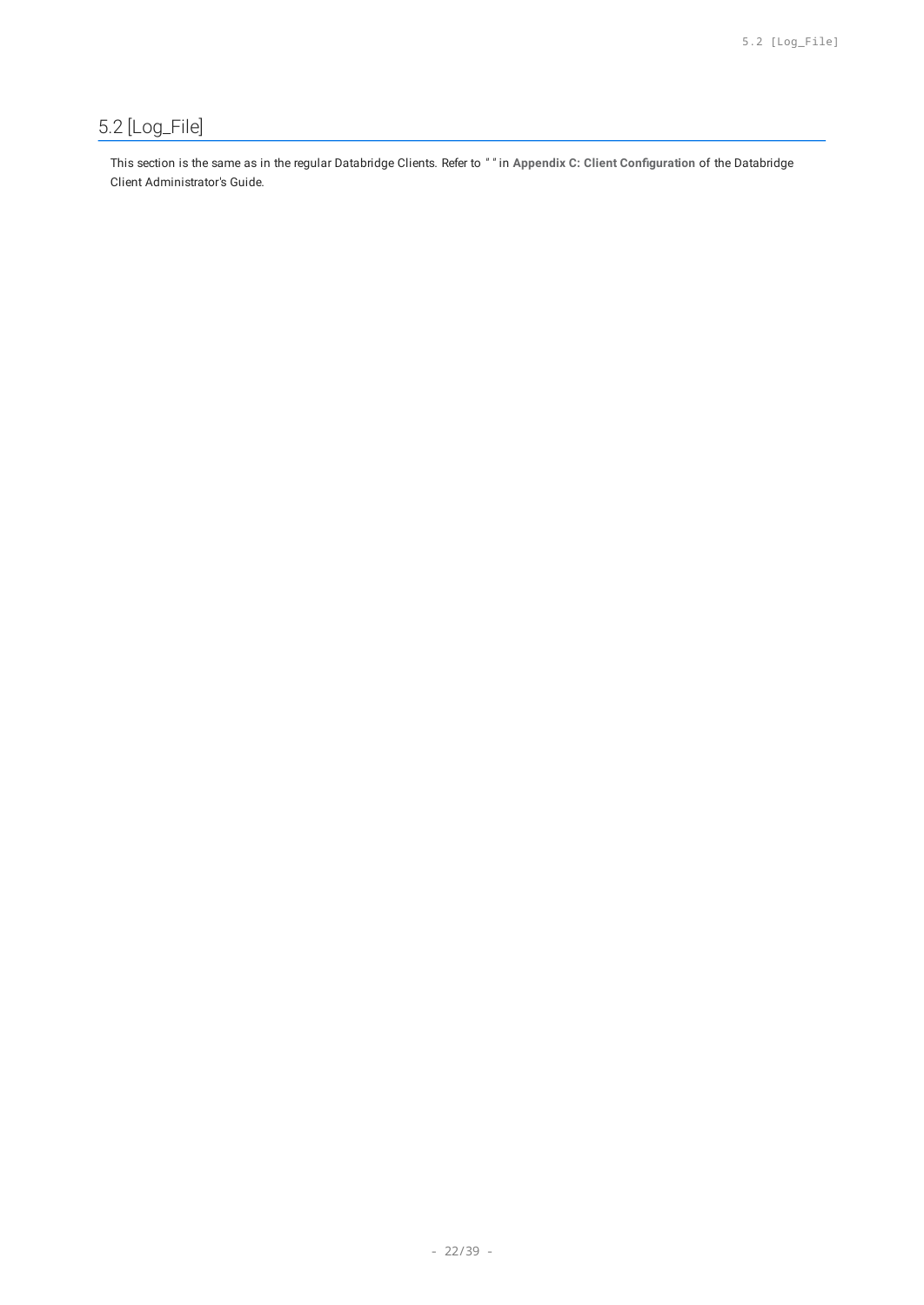### <span id="page-21-0"></span>5.2 [Log\_File]

This section is the same as in the regular Databridge Clients. Refer to *" "* in **Appendix C: Client Configuration** of the Databridge Client Administrator's Guide.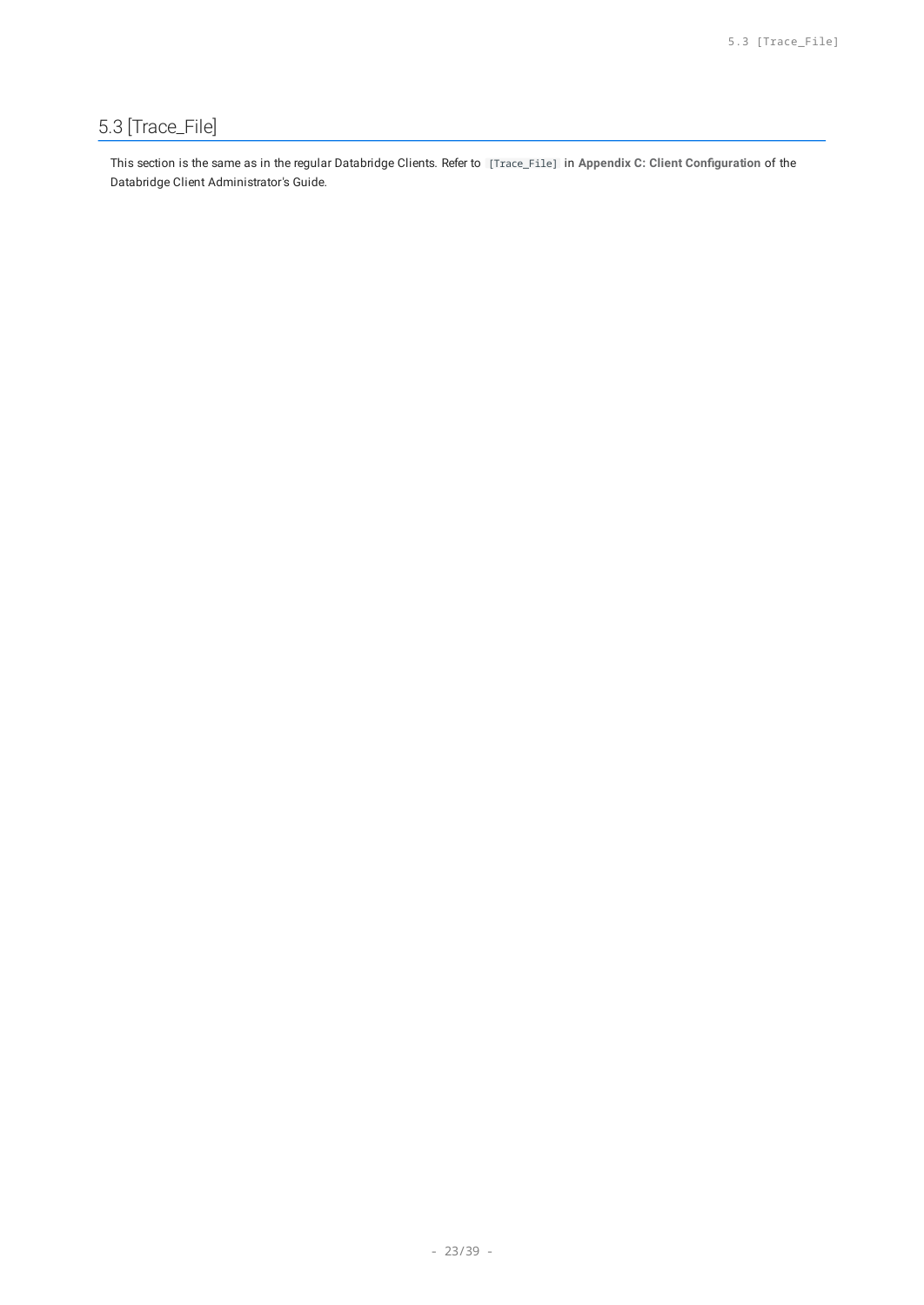### <span id="page-22-0"></span>5.3 [Trace\_File]

This section is the same as in the regular Databridge Clients. Refer to [Trace\_File] in **Appendix C: Client Configuration** of the Databridge Client Administrator's Guide.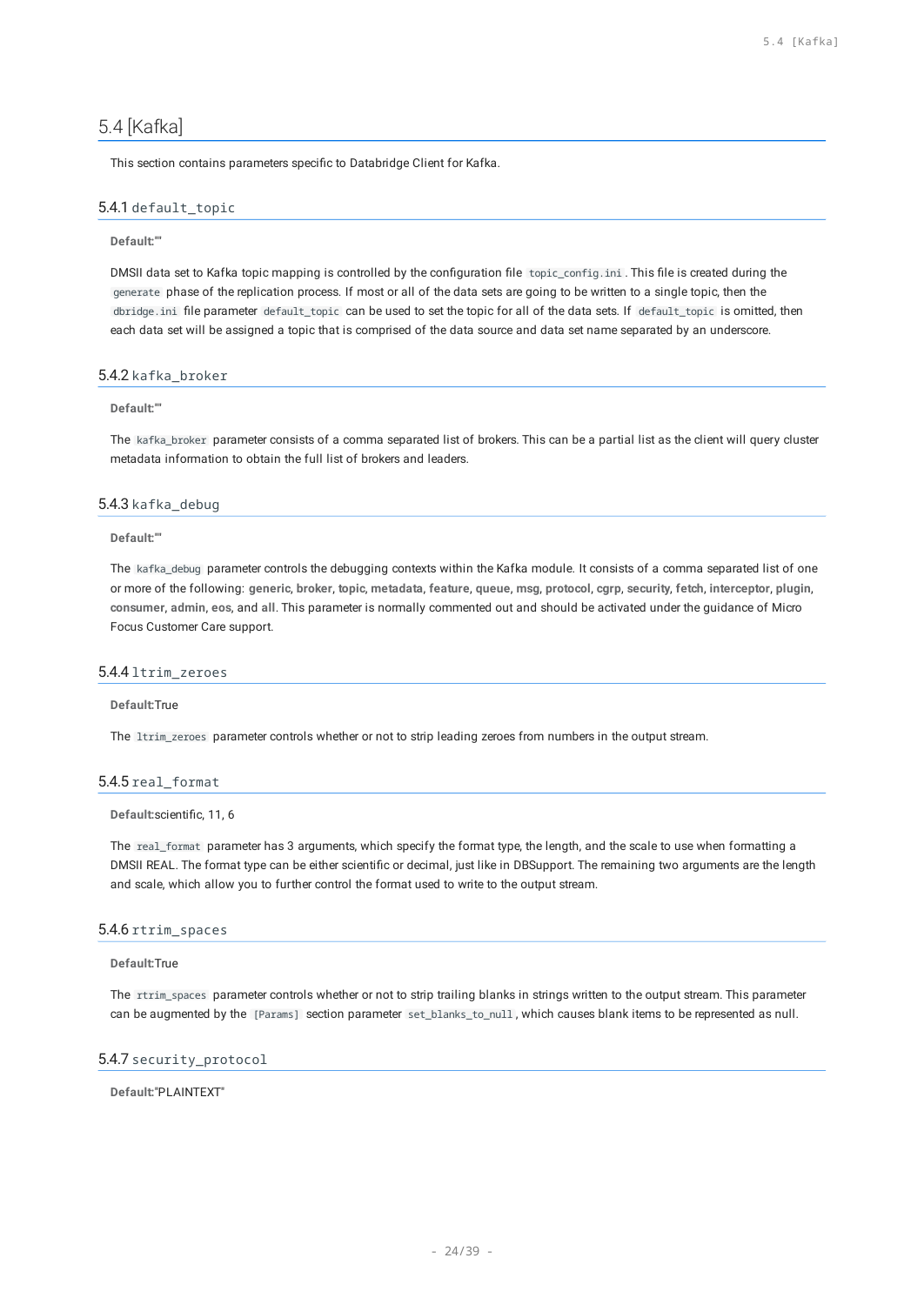### <span id="page-23-0"></span>5.4 [Kafka]

This section contains parameters specific to Databridge Client for Kafka.

#### 5.4.1 default\_topic

#### **Default:**""

DMSII data set to Kafka topic mapping is controlled by the configuration file topic\_config.ini . This file is created during the generate phase of the replication process. If most or all of the data sets are going to be written to a single topic, then the dbridge.ini file parameter default\_topic can be used to set the topic for all of the data sets. If default\_topic is omitted, then each data set will be assigned a topic that is comprised of the data source and data set name separated by an underscore.

#### 5.4.2 kafka\_broker

#### **Default:**""

The kafka broker parameter consists of a comma separated list of brokers. This can be a partial list as the client will query cluster metadata information to obtain the full list of brokers and leaders.

#### 5.4.3 kafka\_debug

#### **Default:**""

The kafka\_debug parameter controls the debugging contexts within the Kafka module. It consists of a comma separated list of one or more of the following: generic, broker, topic, metadata, feature, queue, msg, protocol, cgrp, security, fetch, interceptor, plugin, **consumer**, **admin**, **eos**, and **all**. This parameter is normally commented out and should be activated under the guidance of Micro Focus Customer Care support.

#### 5.4.4 ltrim\_zeroes

#### **Default:**True

The ltrim\_zeroes parameter controls whether or not to strip leading zeroes from numbers in the output stream.

#### 5.4.5 real format

#### **Default:**scientific, 11, 6

The real\_format parameter has 3 arguments, which specify the format type, the length, and the scale to use when formatting a DMSII REAL. The format type can be either scientific or decimal, just like in DBSupport. The remaining two arguments are the length and scale, which allow you to further control the format used to write to the output stream.

#### 5.4.6 rtrim\_spaces

#### **Default:**True

The rtrim\_spaces parameter controls whether or not to strip trailing blanks in strings written to the output stream. This parameter can be augmented by the [Params] section parameter set\_blanks\_to\_null, which causes blank items to be represented as null.

#### 5.4.7 security\_protocol

#### **Default:**"PLAINTEXT"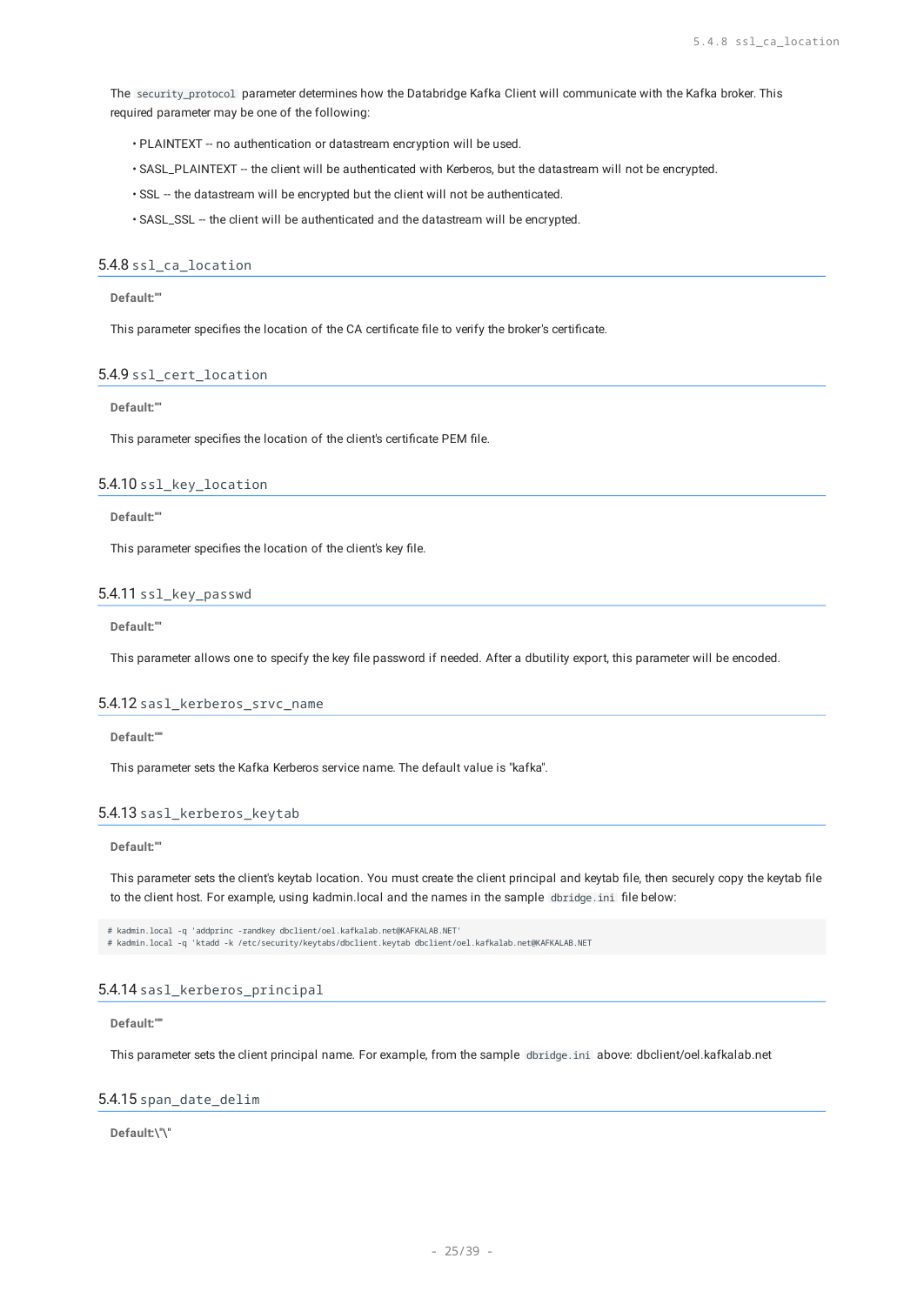The security\_protocol parameter determines how the Databridge Kafka Client will communicate with the Kafka broker. This required parameter may be one of the following:

- PLAINTEXT -- no authentication or datastream encryption will be used.
- SASL\_PLAINTEXT -- the client will be authenticated with Kerberos, but the datastream will not be encrypted.
- SSL -- the datastream will be encrypted but the client will not be authenticated. •
- SASL\_SSL -- the client will be authenticated and the datastream will be encrypted. •

#### 5.4.8 ssl\_ca\_location

#### **Default:**""

This parameter specifies the location of the CA certificate file to verify the broker's certificate.

#### 5.4.9 ssl\_cert\_location

#### **Default:**""

This parameter specifies the location of the client's certificate PEM file.

#### 5.4.10 ssl\_key\_location

#### **Default:**""

This parameter specifies the location of the client's key file.

#### 5.4.11 ssl\_key\_passwd

#### **Default:**""

This parameter allows one to specify the key file password if needed. After a dbutility export, this parameter will be encoded.

#### 5.4.12 sasl\_kerberos\_srvc\_name

#### **Default:**"'"

This parameter sets the Kafka Kerberos service name. The default value is "kafka".

#### 5.4.13 sasl\_kerberos\_keytab

#### **Default:**""

This parameter sets the client's keytab location. You must create the client principal and keytab file, then securely copy the keytab file to the client host. For example, using kadmin.local and the names in the sample dbridge.ini file below:

# kadmin.local -q 'addprinc -randkey dbclient/oel.kafkalab.net@KAFKALAB.NET' # kadmin.local -q 'ktadd -k /etc/security/keytabs/dbclient.keytab dbclient/oel.kafkalab.net@KAFKALAB.NET

#### 5.4.14 sasl\_kerberos\_principal

#### **Default:**"'"

This parameter sets the client principal name. For example, from the sample dbridge.ini above: dbclient/oel.kafkalab.net

#### 5.4.15 span\_date\_delim

**Default:**\"\"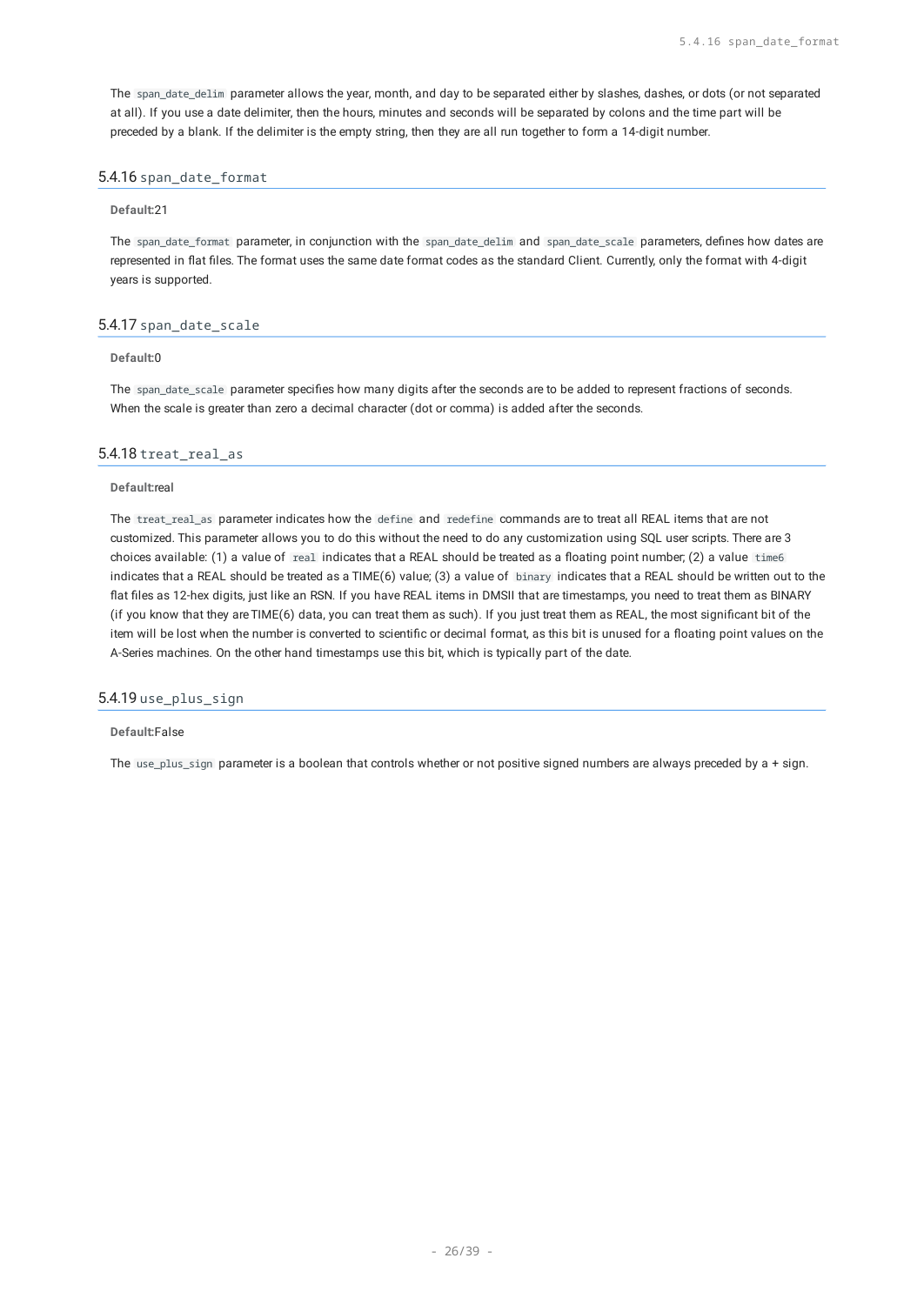The span\_date\_delim parameter allows the year, month, and day to be separated either by slashes, dashes, or dots (or not separated at all). If you use a date delimiter, then the hours, minutes and seconds will be separated by colons and the time part will be preceded by a blank. If the delimiter is the empty string, then they are all run together to form a 14-digit number.

#### 5.4.16 span\_date\_format

#### **Default:**21

The span\_date\_format parameter, in conjunction with the span\_date\_delim and span\_date\_scale parameters, defines how dates are represented in flat files. The format uses the same date format codes as the standard Client. Currently, only the format with 4-digit years is supported.

#### 5.4.17 span\_date\_scale

#### **Default:**0

The span\_date\_scale parameter specifies how many digits after the seconds are to be added to represent fractions of seconds. When the scale is greater than zero a decimal character (dot or comma) is added after the seconds.

#### 5.4.18 treat\_real\_as

#### **Default:**real

The treat\_real\_as parameter indicates how the define and redefine commands are to treat all REAL items that are not customized. This parameter allows you to do this without the need to do any customization using SQL user scripts. There are 3 choices available: (1) a value of real indicates that a REAL should be treated as a floating point number; (2) a value time6 indicates that a REAL should be treated as a TIME(6) value; (3) a value of binary indicates that a REAL should be written out to the flat files as 12-hex digits, just like an RSN. If you have REAL items in DMSII that are timestamps, you need to treat them as BINARY (if you know that they are TIME(6) data, you can treat them as such). If you just treat them as REAL, the most significant bit of the item will be lost when the number is converted to scientific or decimal format, as this bit is unused for a floating point values on the A-Series machines. On the other hand timestamps use this bit, which is typically part of the date.

#### 5.4.19 use\_plus\_sign

#### **Default:**False

The use\_plus\_sign parameter is a boolean that controls whether or not positive signed numbers are always preceded by a + sign.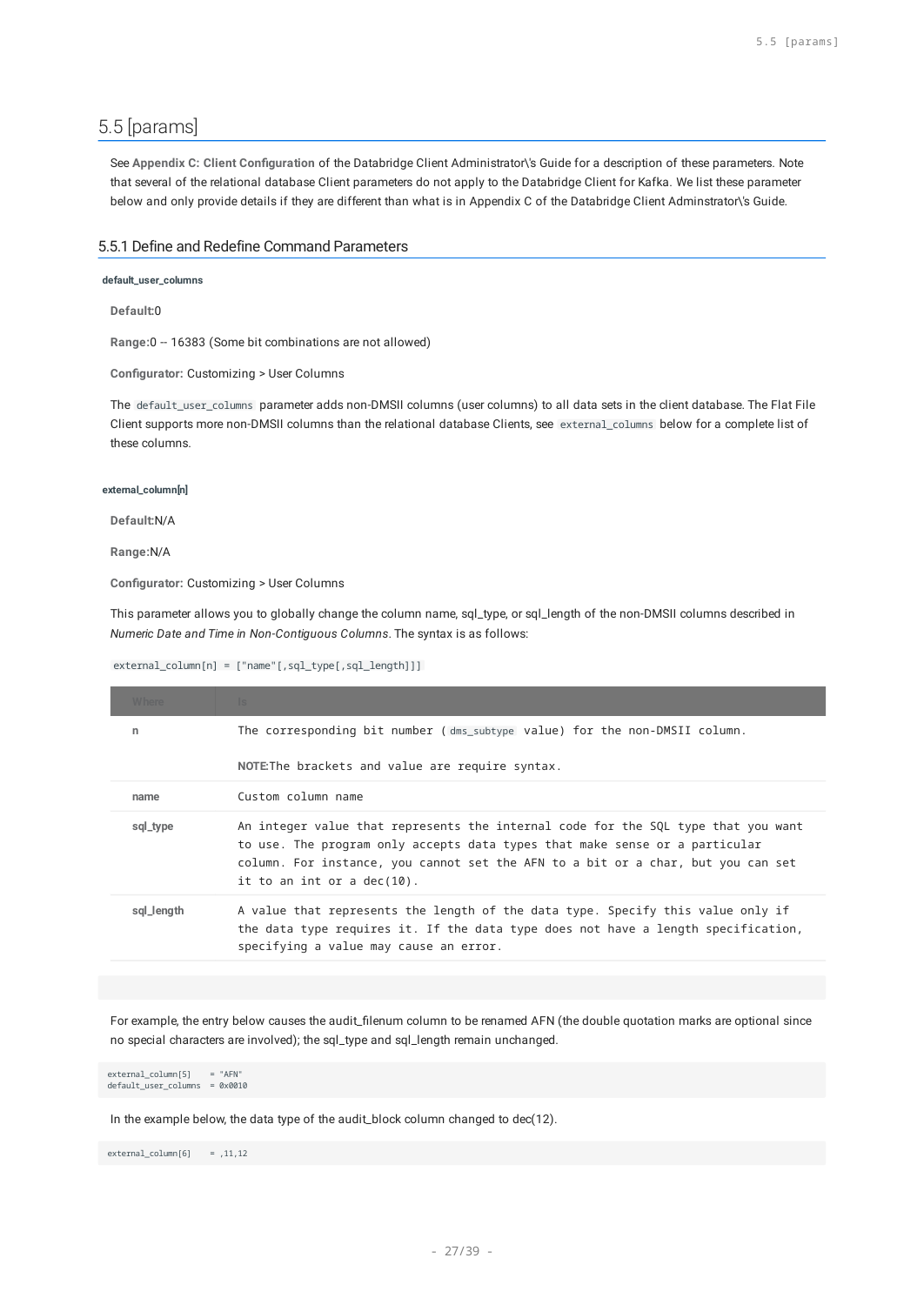### <span id="page-26-0"></span>5.5 [params]

See **Appendix C: Client Configuration** of the Databridge Client Administrator\'s Guide for a description of these parameters. Note that several of the relational database Client parameters do not apply to the Databridge Client for Kafka. We list these parameter below and only provide details if they are different than what is in Appendix C of the Databridge Client Adminstrator\'s Guide.

#### 5.5.1 Define and Redefine Command Parameters

**default\_user\_columns**

**Default:**0

**Range:**0 -- 16383 (Some bit combinations are not allowed)

**Configurator:** Customizing > User Columns

The default\_user\_columns parameter adds non-DMSII columns (user columns) to all data sets in the client database. The Flat File Client supports more non-DMSII columns than the relational database Clients, see external\_columns below for a complete list of these columns.

#### **external\_column[n]**

**Default:**N/A

**Range:**N/A

**Configurator:** Customizing > User Columns

This parameter allows you to globally change the column name, sql\_type, or sql\_length of the non-DMSII columns described in *Numeric Date and Time in Non-Contiguous Columns*. The syntax is as follows:

external\_column[n] = ["name"[,sql\_type[,sql\_length]]]

| <b>Where</b> | $\vert$ <sub>S</sub>                                                                                                                                                                                                                                                                  |
|--------------|---------------------------------------------------------------------------------------------------------------------------------------------------------------------------------------------------------------------------------------------------------------------------------------|
| n            | The corresponding bit number (dms_subtype value) for the non-DMSII column.                                                                                                                                                                                                            |
|              | NOTE: The brackets and value are require syntax.                                                                                                                                                                                                                                      |
| name         | Custom column name                                                                                                                                                                                                                                                                    |
| sql_type     | An integer value that represents the internal code for the SQL type that you want<br>to use. The program only accepts data types that make sense or a particular<br>column. For instance, you cannot set the AFN to a bit or a char, but you can set<br>it to an int or a $dec(10)$ . |
| sql_length   | A value that represents the length of the data type. Specify this value only if<br>the data type requires it. If the data type does not have a length specification,<br>specifying a value may cause an error.                                                                        |

For example, the entry below causes the audit\_filenum column to be renamed AFN (the double quotation marks are optional since no special characters are involved); the sql\_type and sql\_length remain unchanged.

external\_column[5] = "AFN" default user columns = 0x0010

In the example below, the data type of the audit\_block column changed to dec(12).

 $external\_column[6] = 11,12$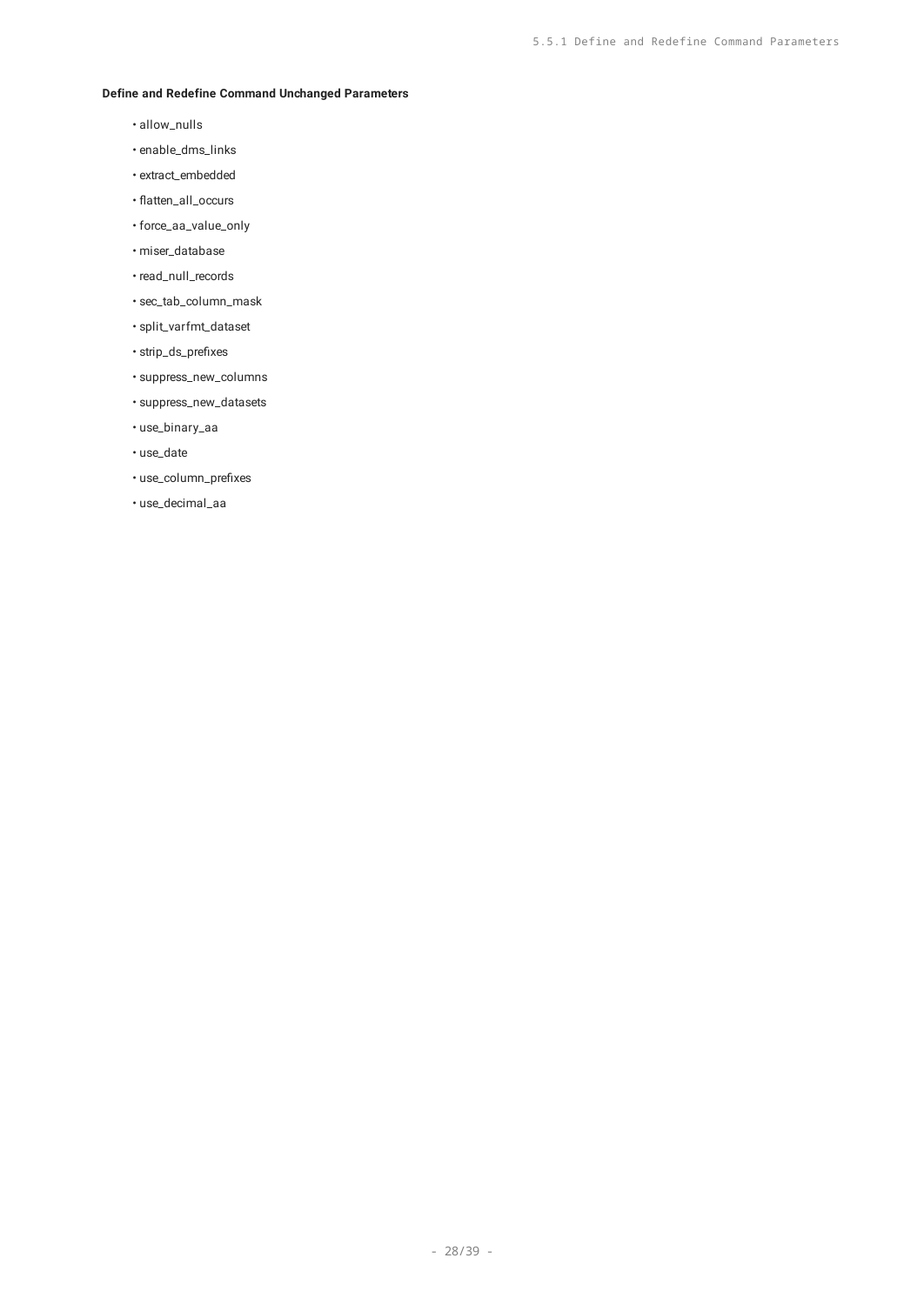#### **Define and Redefine Command Unchanged Parameters**

- allow\_nulls •
- enable\_dms\_links •
- extract\_embedded •
- flatten\_all\_occurs •
- force\_aa\_value\_only •
- miser\_database •
- read\_null\_records
- sec\_tab\_column\_mask •
- split\_varfmt\_dataset •
- strip\_ds\_prefixes •
- suppress\_new\_columns •
- suppress\_new\_datasets •
- use\_binary\_aa •
- use\_date •
- use\_column\_prefixes •
- use\_decimal\_aa •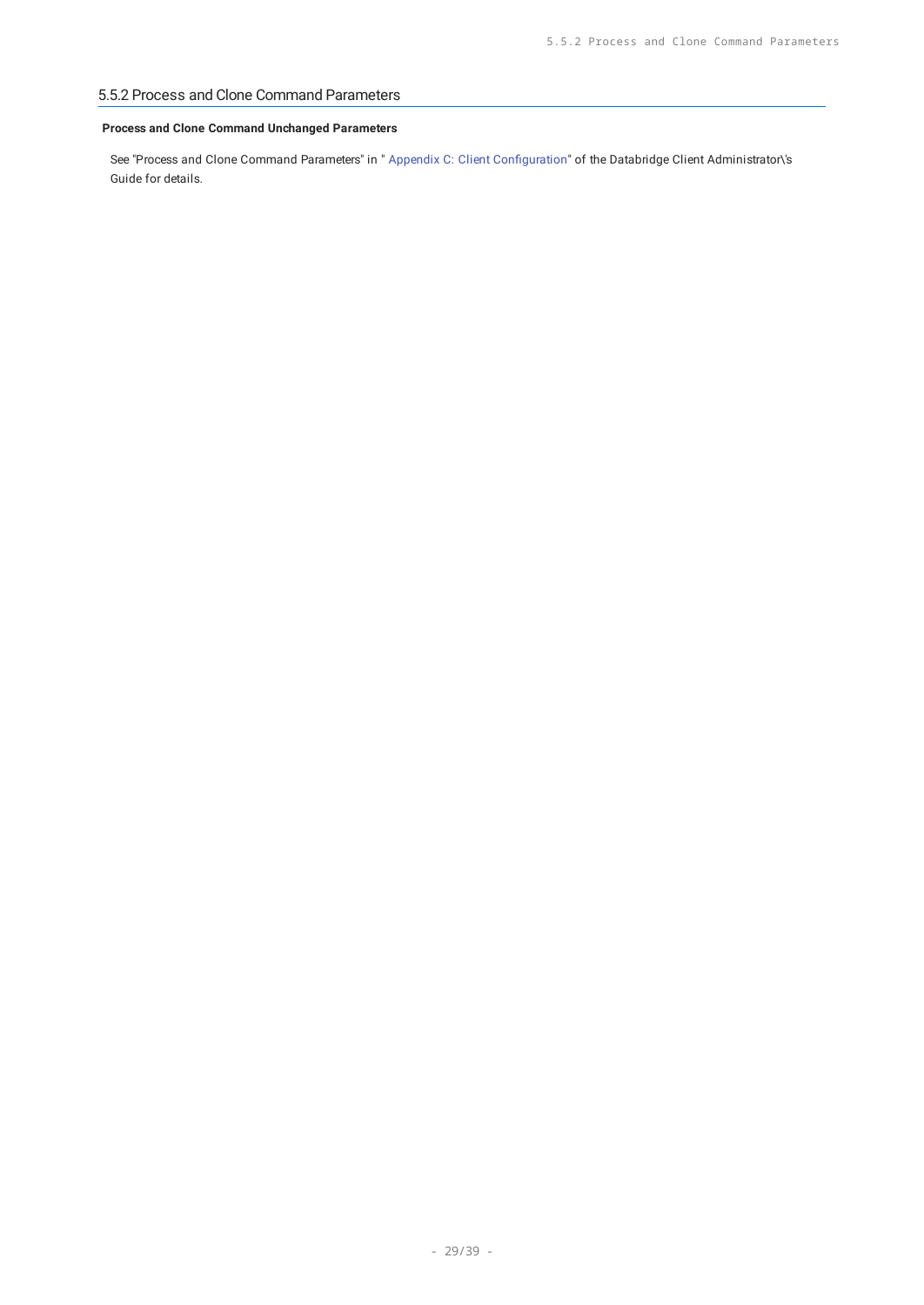#### 5.5.2 Process and Clone Command Parameters

#### **Process and Clone Command Unchanged Parameters**

See "Process and Clone Command Parameters" in " [Appendix C: Client Con](https://www.attachmate.com/documentation//client-admin/data/t_21240.html#t_21240)figuration" of the Databridge Client Administrator\'s Guide for details.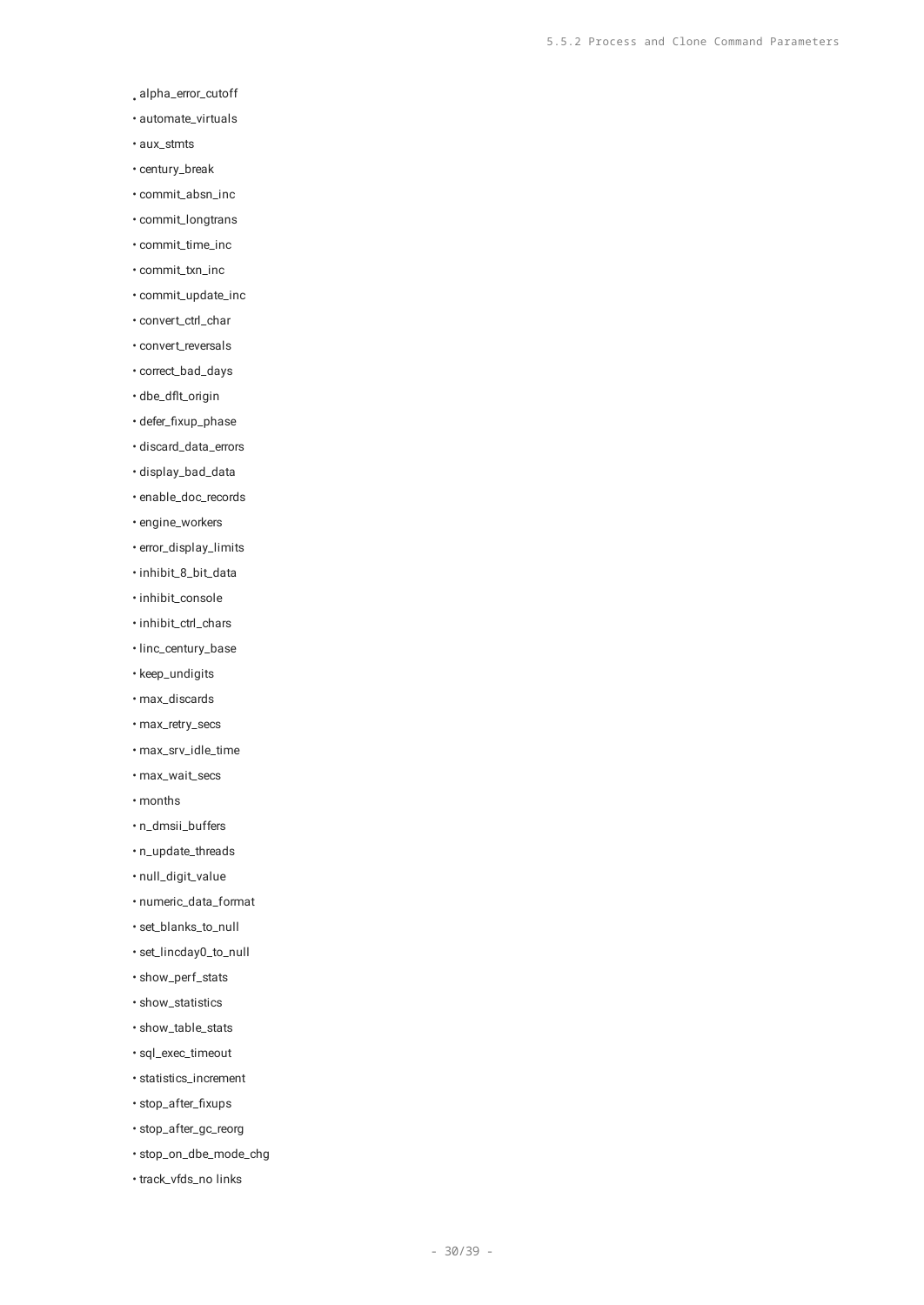- alpha\_error\_cutoff •
- automate\_virtuals •
- aux\_stmts •
- century\_break •
- commit\_absn\_inc •
- commit\_longtrans •
- commit\_time\_inc •
- commit\_txn\_inc •
- commit\_update\_inc •
- convert\_ctrl\_char •
- convert\_reversals •
- correct\_bad\_days •
- dbe\_dflt\_origin •
- defer\_fixup\_phase
- discard\_data\_errors •
- display\_bad\_data •
- enable\_doc\_records •
- engine\_workers
- error\_display\_limits •
- inhibit\_8\_bit\_data •
- inhibit\_console
- inhibit\_ctrl\_chars •
- linc\_century\_base
- keep\_undigits
- max\_discards •
- max\_retry\_secs •
- max\_srv\_idle\_time •
- max\_wait\_secs •
- months •
- n\_dmsii\_buffers •
- n\_update\_threads •
- null\_digit\_value •
- numeric\_data\_format •
- set\_blanks\_to\_null •
- set\_lincday0\_to\_null •
- show\_perf\_stats •
- show\_statistics •
- show\_table\_stats •
- sql\_exec\_timeout •
- statistics\_increment •
- stop\_after\_fixups •
- stop\_after\_gc\_reorg •
- stop\_on\_dbe\_mode\_chg •
- track\_vfds\_no links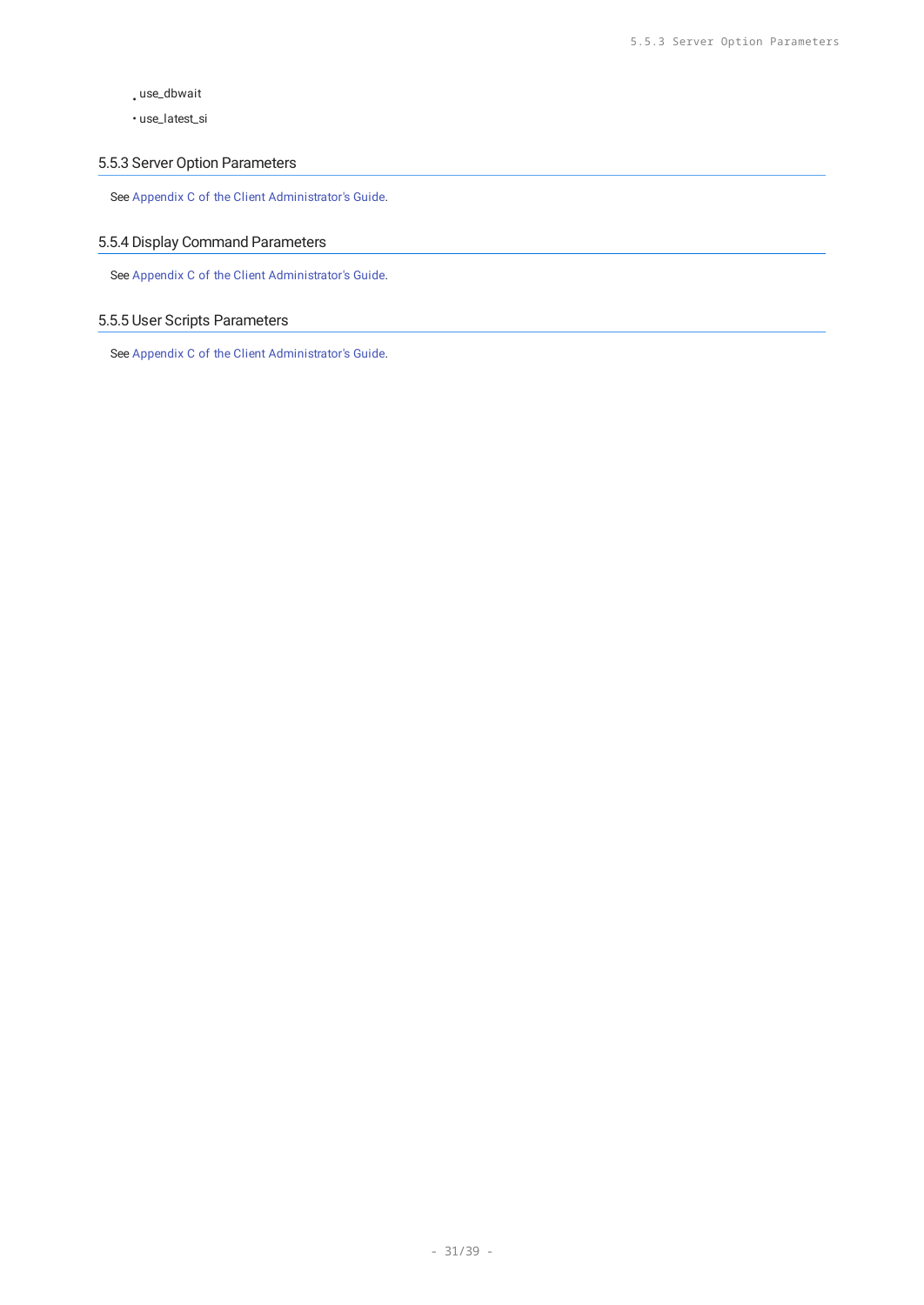use\_dbwait •

use\_latest\_si •

#### 5.5.3 Server Option Parameters

See Appendix C of the Client Administrator's Guide.

#### 5.5.4 Display Command Parameters

See Appendix C of the Client Administrator's Guide.

#### 5.5.5 User Scripts Parameters

See Appendix C of the Client Administrator's Guide.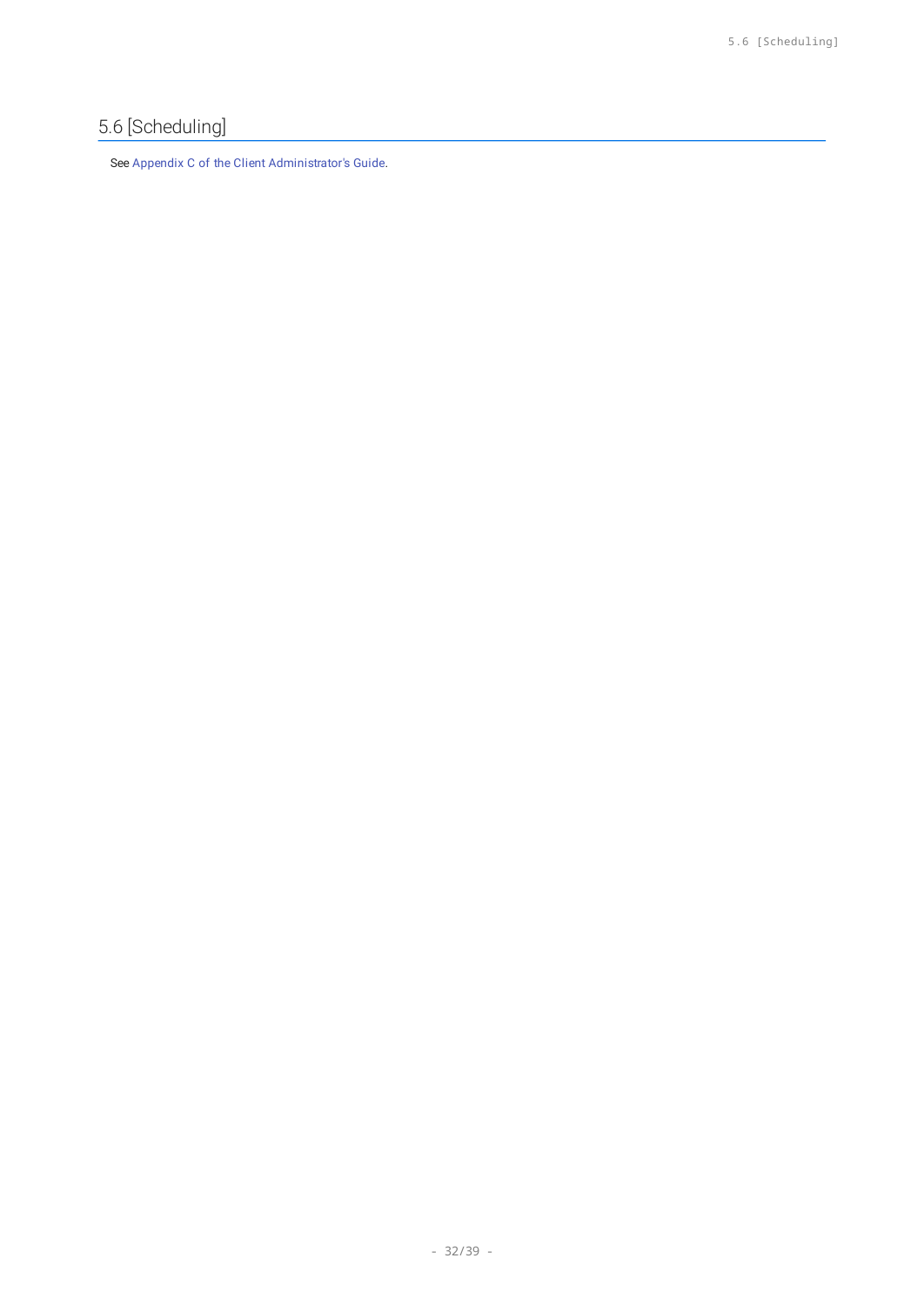### <span id="page-31-0"></span>5.6 [Scheduling]

See Appendix C of the Client Administrator's Guide.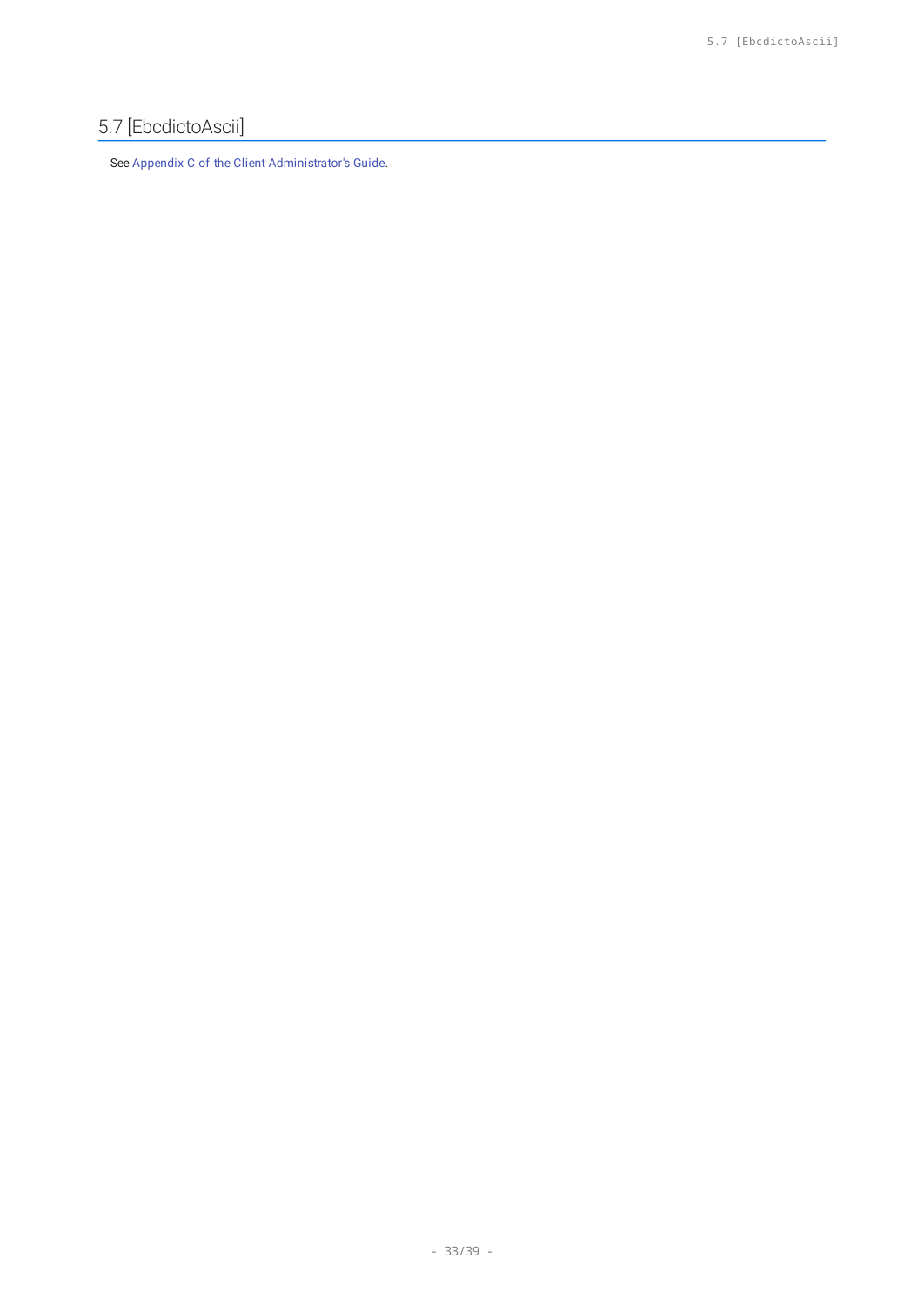### <span id="page-32-0"></span>5.7 [EbcdictoAscii]

See Appendix C of the Client Administrator's Guide.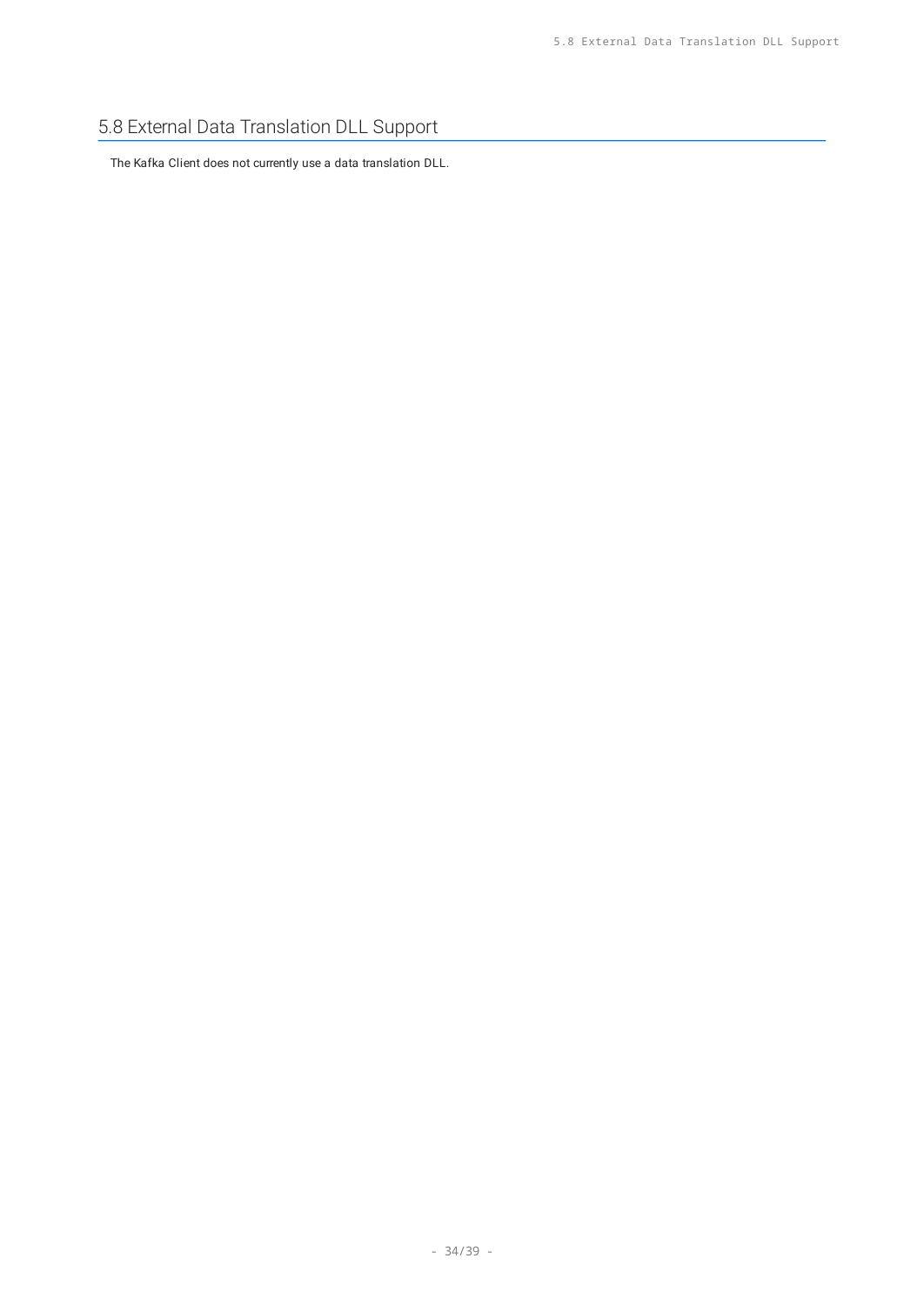### <span id="page-33-0"></span>5.8 External Data Translation DLL Support

The Kafka Client does not currently use a data translation DLL.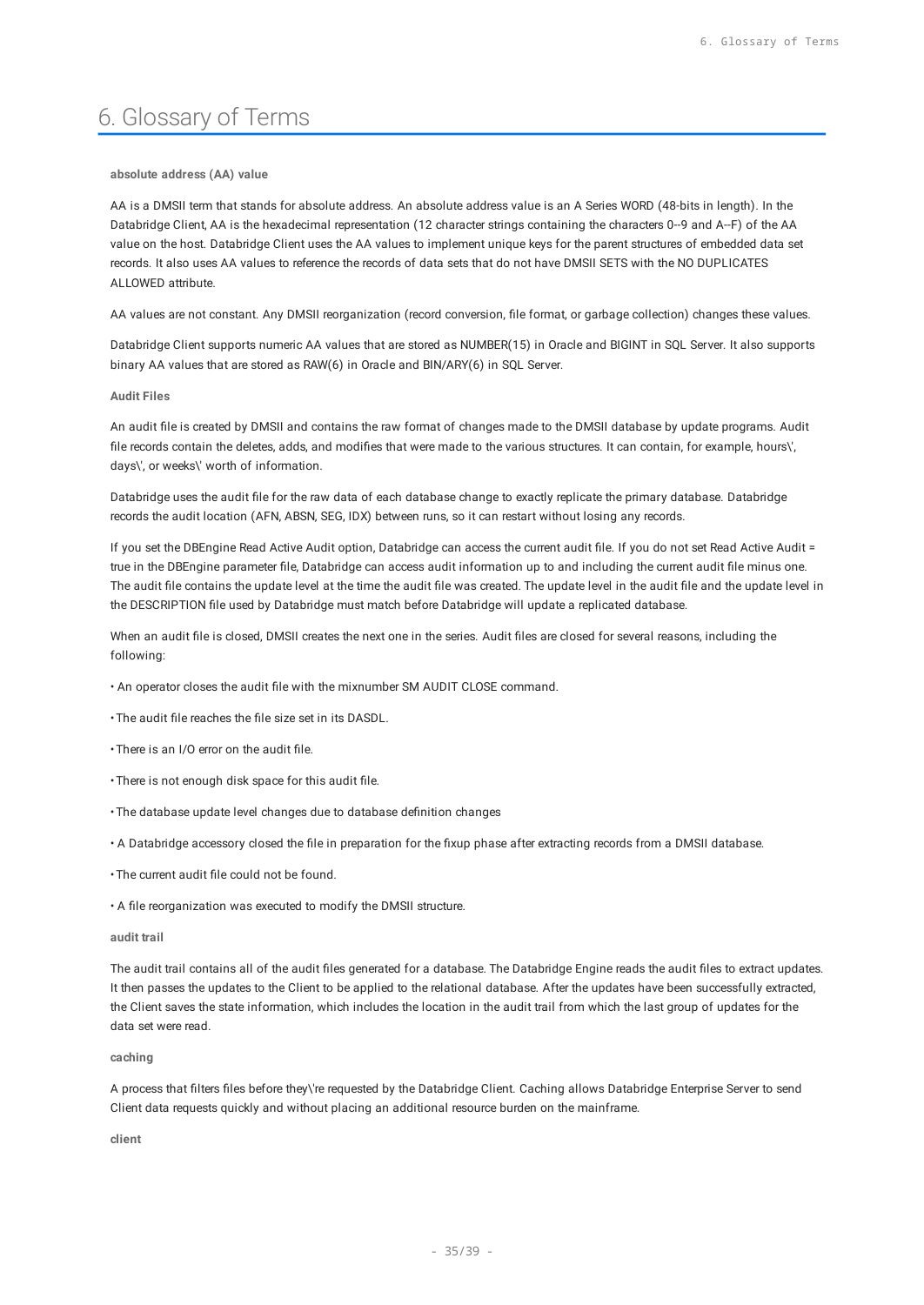# <span id="page-34-0"></span>6. Glossary of Terms

#### **absolute address (AA) value**

AA is a DMSII term that stands for absolute address. An absolute address value is an A Series WORD (48-bits in length). In the Databridge Client, AA is the hexadecimal representation (12 character strings containing the characters 0--9 and A--F) of the AA value on the host. Databridge Client uses the AA values to implement unique keys for the parent structures of embedded data set records. It also uses AA values to reference the records of data sets that do not have DMSII SETS with the NO DUPLICATES ALLOWED attribute.

AA values are not constant. Any DMSII reorganization (record conversion, file format, or garbage collection) changes these values.

Databridge Client supports numeric AA values that are stored as NUMBER(15) in Oracle and BIGINT in SQL Server. It also supports binary AA values that are stored as RAW(6) in Oracle and BIN/ARY(6) in SQL Server.

#### **Audit Files**

An audit file is created by DMSII and contains the raw format of changes made to the DMSII database by update programs. Audit file records contain the deletes, adds, and modifies that were made to the various structures. It can contain, for example, hours\', days\', or weeks\' worth of information.

Databridge uses the audit file for the raw data of each database change to exactly replicate the primary database. Databridge records the audit location (AFN, ABSN, SEG, IDX) between runs, so it can restart without losing any records.

If you set the DBEngine Read Active Audit option, Databridge can access the current audit file. If you do not set Read Active Audit = true in the DBEngine parameter file, Databridge can access audit information up to and including the current audit file minus one. The audit file contains the update level at the time the audit file was created. The update level in the audit file and the update level in the DESCRIPTION file used by Databridge must match before Databridge will update a replicated database.

When an audit file is closed, DMSII creates the next one in the series. Audit files are closed for several reasons, including the following:

- An operator closes the audit file with the mixnumber SM AUDIT CLOSE command.
- The audit file reaches the file size set in its DASDL.
- There is an I/O error on the audit file.
- There is not enough disk space for this audit file.
- The database update level changes due to database definition changes

• A Databridge accessory closed the file in preparation for the fixup phase after extracting records from a DMSII database.

- The current audit file could not be found.
- A file reorganization was executed to modify the DMSII structure.

#### **audit trail**

The audit trail contains all of the audit files generated for a database. The Databridge Engine reads the audit files to extract updates. It then passes the updates to the Client to be applied to the relational database. After the updates have been successfully extracted, the Client saves the state information, which includes the location in the audit trail from which the last group of updates for the data set were read.

#### **caching**

A process that filters files before they\'re requested by the Databridge Client. Caching allows Databridge Enterprise Server to send Client data requests quickly and without placing an additional resource burden on the mainframe.

**client**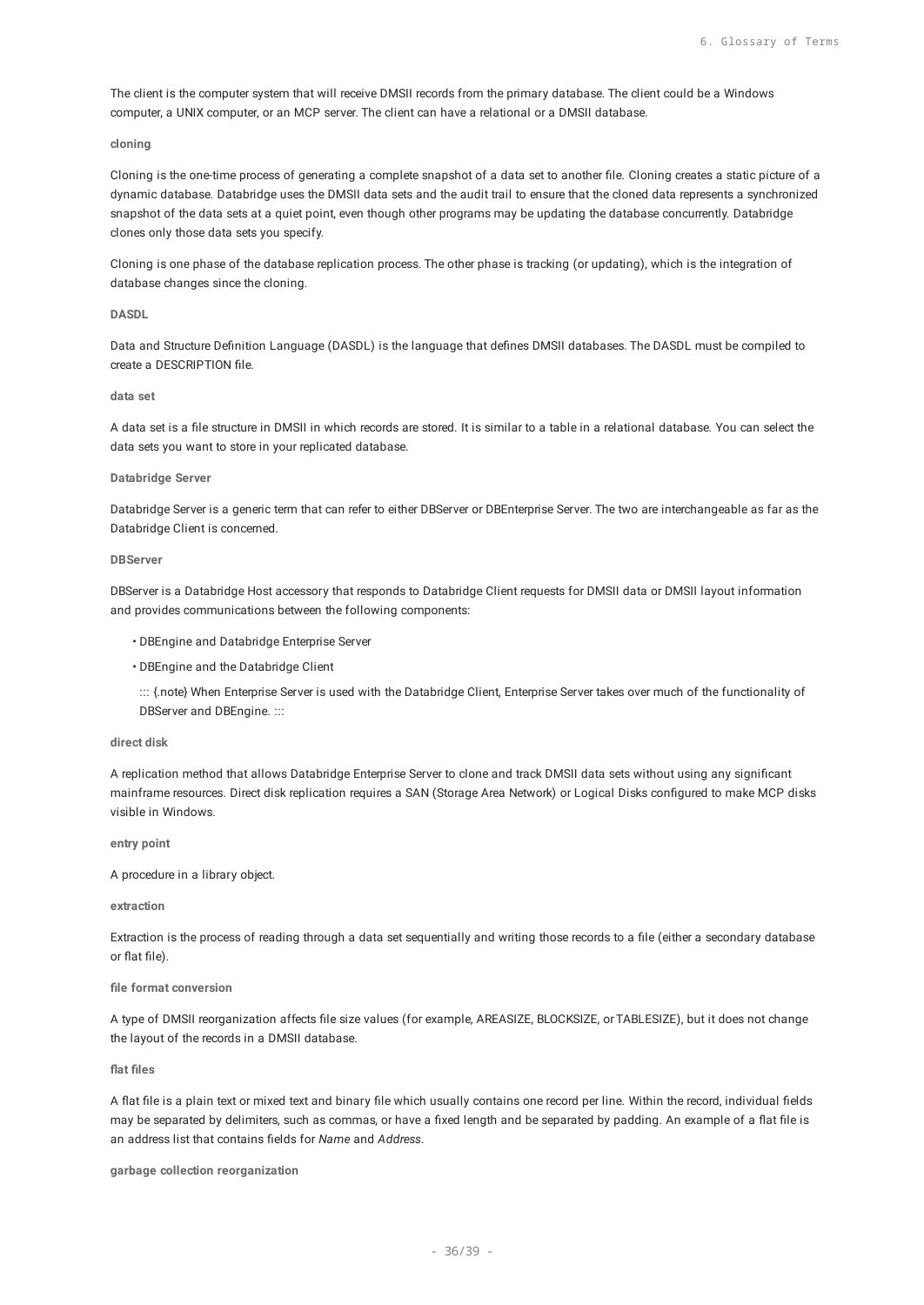The client is the computer system that will receive DMSII records from the primary database. The client could be a Windows computer, a UNIX computer, or an MCP server. The client can have a relational or a DMSII database.

#### **cloning**

Cloning is the one-time process of generating a complete snapshot of a data set to another file. Cloning creates a static picture of a dynamic database. Databridge uses the DMSII data sets and the audit trail to ensure that the cloned data represents a synchronized snapshot of the data sets at a quiet point, even though other programs may be updating the database concurrently. Databridge clones only those data sets you specify.

Cloning is one phase of the database replication process. The other phase is tracking (or updating), which is the integration of database changes since the cloning.

#### **DASDL**

Data and Structure Definition Language (DASDL) is the language that defines DMSII databases. The DASDL must be compiled to create a DESCRIPTION file.

#### **data set**

A data set is a file structure in DMSII in which records are stored. It is similar to a table in a relational database. You can select the data sets you want to store in your replicated database.

#### **Databridge Server**

Databridge Server is a generic term that can refer to either DBServer or DBEnterprise Server. The two are interchangeable as far as the Databridge Client is concerned.

#### **DBServer**

DBServer is a Databridge Host accessory that responds to Databridge Client requests for DMSII data or DMSII layout information and provides communications between the following components:

- DBEngine and Databridge Enterprise Server •
- DBEngine and the Databridge Client

::: {.note} When Enterprise Server is used with the Databridge Client, Enterprise Server takes over much of the functionality of DBServer and DBEngine. :::

#### **direct disk**

A replication method that allows Databridge Enterprise Server to clone and track DMSII data sets without using any significant mainframe resources. Direct disk replication requires a SAN (Storage Area Network) or Logical Disks configured to make MCP disks visible in Windows.

#### **entry point**

A procedure in a library object.

#### **extraction**

Extraction is the process of reading through a data set sequentially and writing those records to a file (either a secondary database or flat file).

#### **file format conversion**

A type of DMSII reorganization affects file size values (for example, AREASIZE, BLOCKSIZE, or TABLESIZE), but it does not change the layout of the records in a DMSII database.

#### **flat files**

A flat file is a plain text or mixed text and binary file which usually contains one record per line. Within the record, individual fields may be separated by delimiters, such as commas, or have a fixed length and be separated by padding. An example of a flat file is an address list that contains fields for *Name* and *Address*.

**garbage collection reorganization**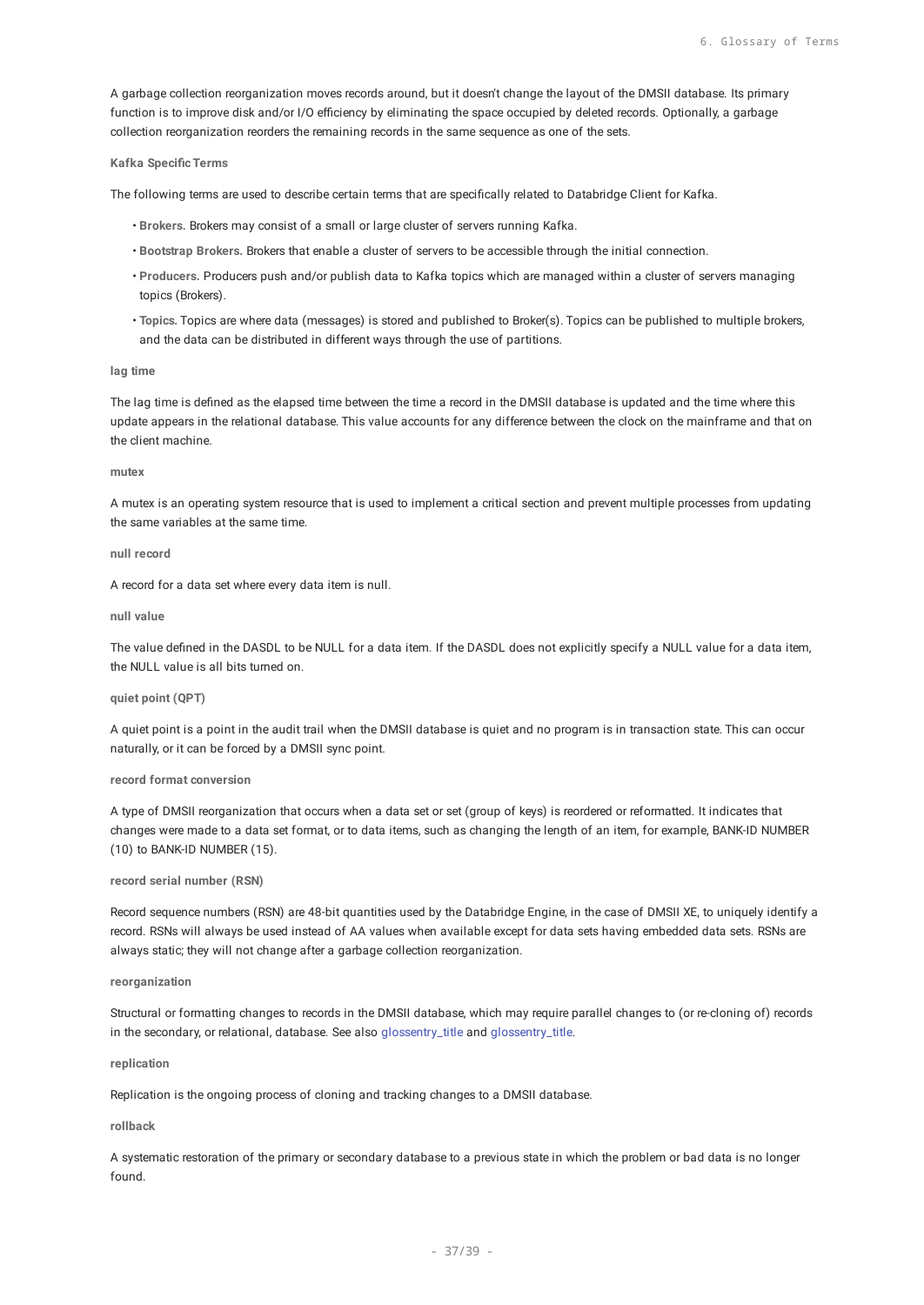A garbage collection reorganization moves records around, but it doesn't change the layout of the DMSII database. Its primary function is to improve disk and/or I/O efficiency by eliminating the space occupied by deleted records. Optionally, a garbage collection reorganization reorders the remaining records in the same sequence as one of the sets.

#### **Kafka Specific Terms**

The following terms are used to describe certain terms that are specifically related to Databridge Client for Kafka.

- **Brokers.** Brokers may consist of a small or large cluster of servers running Kafka. •
- **Bootstrap Brokers.** Brokers that enable a cluster of servers to be accessible through the initial connection. •
- **Producers.** Producers push and/or publish data to Kafka topics which are managed within a cluster of servers managing topics (Brokers).
- **Topics.** Topics are where data (messages) is stored and published to Broker(s). Topics can be published to multiple brokers, and the data can be distributed in different ways through the use of partitions.

#### **lag time**

The lag time is defined as the elapsed time between the time a record in the DMSII database is updated and the time where this update appears in the relational database. This value accounts for any difference between the clock on the mainframe and that on the client machine.

#### **mutex**

A mutex is an operating system resource that is used to implement a critical section and prevent multiple processes from updating the same variables at the same time.

#### **null record**

A record for a data set where every data item is null.

#### **null value**

The value defined in the DASDL to be NULL for a data item. If the DASDL does not explicitly specify a NULL value for a data item, the NULL value is all bits turned on.

#### **quiet point (QPT)**

A quiet point is a point in the audit trail when the DMSII database is quiet and no program is in transaction state. This can occur naturally, or it can be forced by a DMSII sync point.

#### **record format conversion**

A type of DMSII reorganization that occurs when a data set or set (group of keys) is reordered or reformatted. It indicates that changes were made to a data set format, or to data items, such as changing the length of an item, for example, BANK-ID NUMBER (10) to BANK-ID NUMBER (15).

#### **record serial number (RSN)**

Record sequence numbers (RSN) are 48-bit quantities used by the Databridge Engine, in the case of DMSII XE, to uniquely identify a record. RSNs will always be used instead of AA values when available except for data sets having embedded data sets. RSNs are always static; they will not change after a garbage collection reorganization.

#### **reorganization**

Structural or formatting changes to records in the DMSII database, which may require parallel changes to (or re-cloning of) records in the secondary, or relational, database. See also glossentry\_title and glossentry\_title.

#### **replication**

Replication is the ongoing process of cloning and tracking changes to a DMSII database.

#### **rollback**

A systematic restoration of the primary or secondary database to a previous state in which the problem or bad data is no longer found.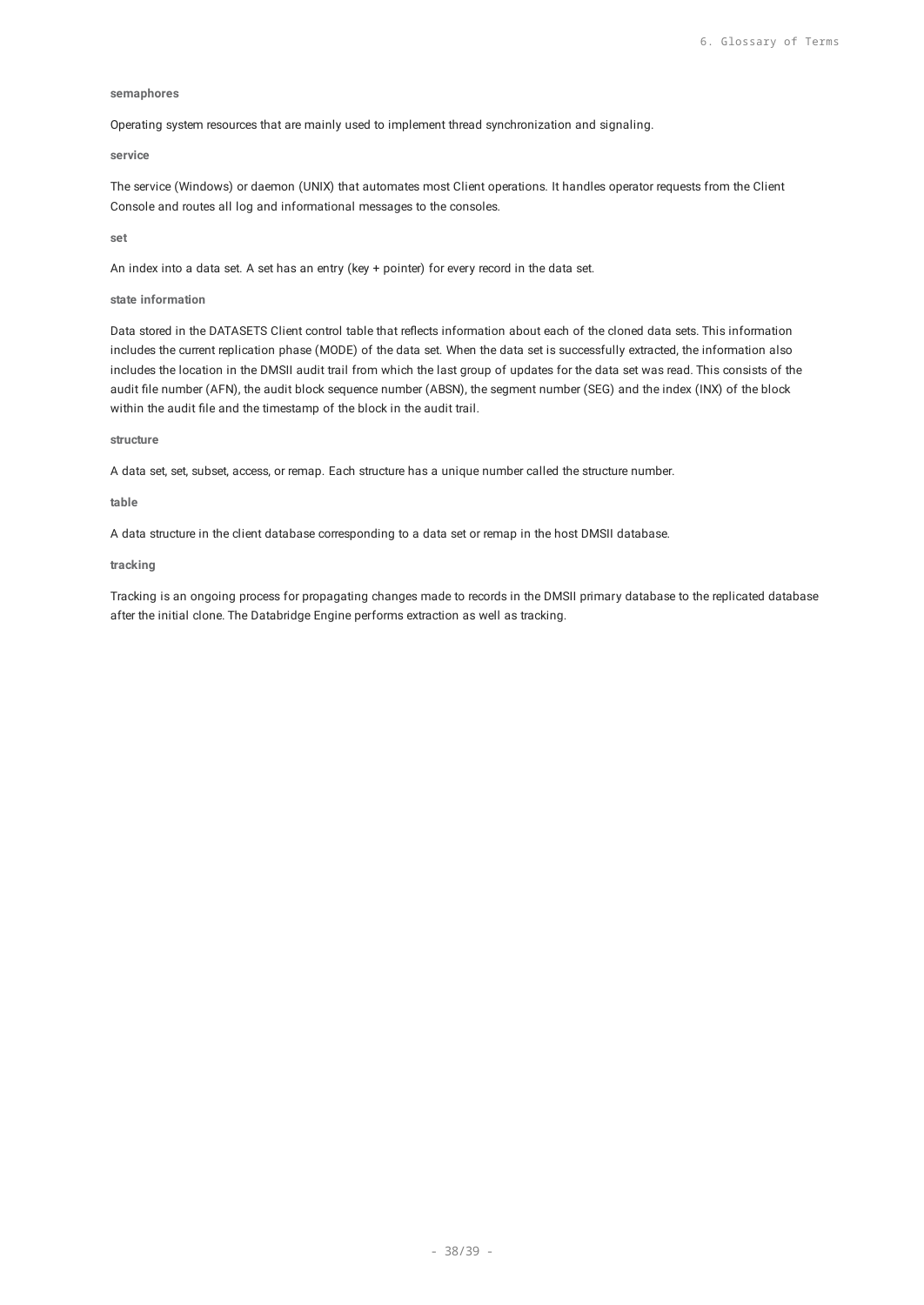#### **semaphores**

Operating system resources that are mainly used to implement thread synchronization and signaling.

#### **service**

The service (Windows) or daemon (UNIX) that automates most Client operations. It handles operator requests from the Client Console and routes all log and informational messages to the consoles.

**set**

An index into a data set. A set has an entry (key + pointer) for every record in the data set.

#### **state information**

Data stored in the DATASETS Client control table that reflects information about each of the cloned data sets. This information includes the current replication phase (MODE) of the data set. When the data set is successfully extracted, the information also includes the location in the DMSII audit trail from which the last group of updates for the data set was read. This consists of the audit file number (AFN), the audit block sequence number (ABSN), the segment number (SEG) and the index (INX) of the block within the audit file and the timestamp of the block in the audit trail.

#### **structure**

A data set, set, subset, access, or remap. Each structure has a unique number called the structure number.

#### **table**

A data structure in the client database corresponding to a data set or remap in the host DMSII database.

#### **tracking**

Tracking is an ongoing process for propagating changes made to records in the DMSII primary database to the replicated database after the initial clone. The Databridge Engine performs extraction as well as tracking.